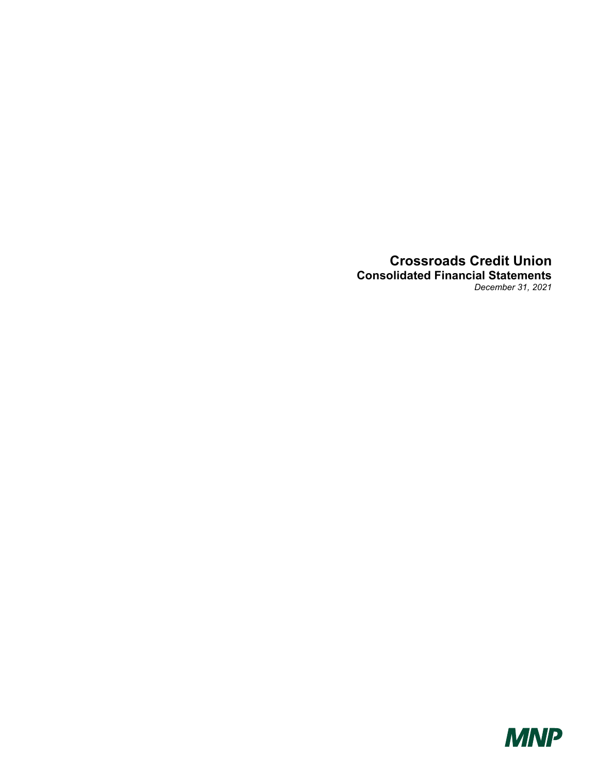# **Crossroads Credit Union Consolidated Financial Statements** *December 31, 2021*

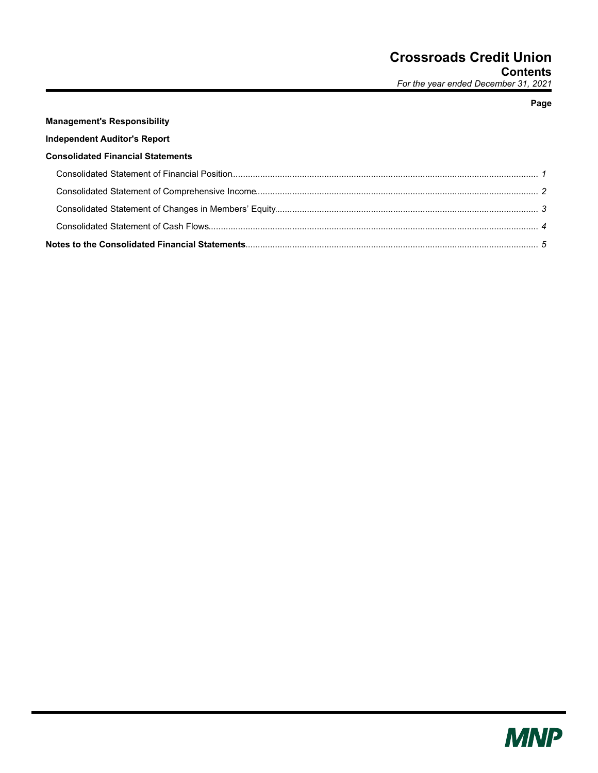# Page

| <b>Management's Responsibility</b>       |  |
|------------------------------------------|--|
| <b>Independent Auditor's Report</b>      |  |
| <b>Consolidated Financial Statements</b> |  |
|                                          |  |
|                                          |  |
|                                          |  |
|                                          |  |
|                                          |  |

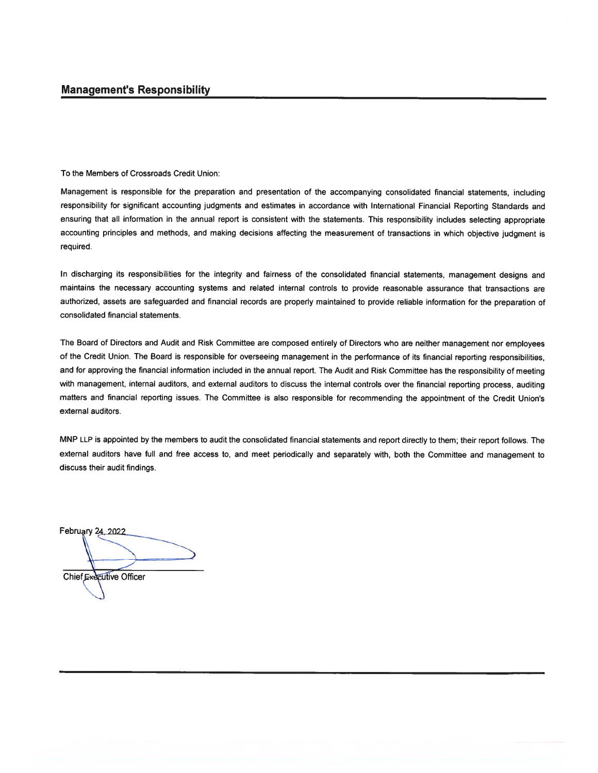To the Members of Crossroads Credit Union:

Management is responsible for the preparation and presentation of the accompanying consolidated financial statements, including responsibility for significant accounting judgments and estimates in accordance with International Financial Reporting Standards and ensuring that all information in the annual report is consistent with the statements. This responsibility includes selecting appropriate accounting principles and methods, and making decisions affecting the measurement of transactions in which objective judgment is required.

In discharging its responsibilities for the integrity and fairness of the consolidated financial statements, management designs and maintains the necessary accounting systems and related internal controls to provide reasonable assurance that transactions are authorized, assets are safeguarded and financial records are properly maintained to provide reliable information for the preparation of consolidated financial statements.

The Board of Directors and Audit and Risk Committee are composed entirely of Directors who are neither management nor employees of the Credit Union. The Board is responsible for overseeing management in the performance of its financial reporting responsibilities, and for approving the financial information included in the annual report. The Audit and Risk Committee has the responsibility of meeting with management, internal auditors, and external auditors to discuss the internal controls over the financial reporting process, auditing matters and financial reporting issues. The Committee is also responsible for recommending the appointment of the Credit Union's external auditors.

MNP LLP is appointed by the members to audit the consolidated financial statements and report directly to them; their report follows. The external auditors have full and free access to, and meet periodically and separately with, both the Committee and management to discuss their audit findings.

February 24, 2022 Chief Executive Officer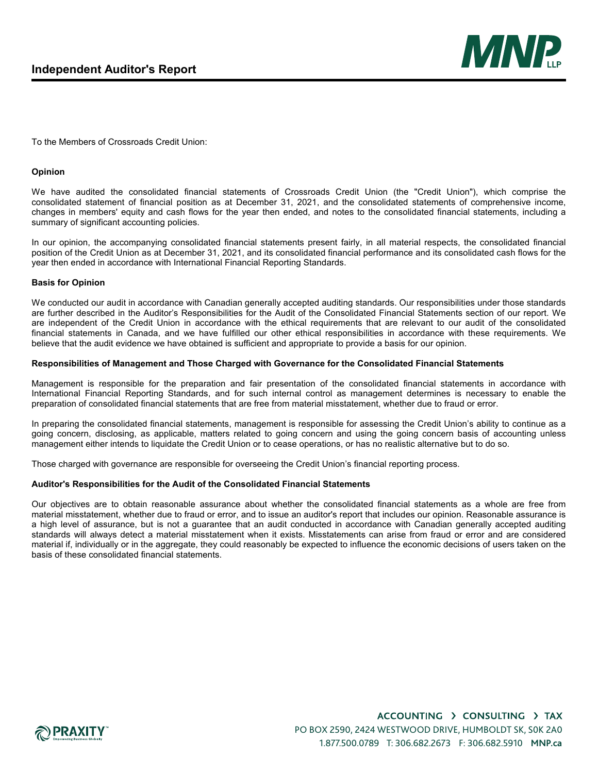

To the Members of Crossroads Credit Union:

#### **Opinion**

We have audited the consolidated financial statements of Crossroads Credit Union (the "Credit Union"), which comprise the consolidated statement of financial position as at December 31, 2021, and the consolidated statements of comprehensive income, changes in members' equity and cash flows for the year then ended, and notes to the consolidated financial statements, including a summary of significant accounting policies.

In our opinion, the accompanying consolidated financial statements present fairly, in all material respects, the consolidated financial position of the Credit Union as at December 31, 2021, and its consolidated financial performance and its consolidated cash flows for the year then ended in accordance with International Financial Reporting Standards.

#### **Basis for Opinion**

We conducted our audit in accordance with Canadian generally accepted auditing standards. Our responsibilities under those standards are further described in the Auditor's Responsibilities for the Audit of the Consolidated Financial Statements section of our report. We are independent of the Credit Union in accordance with the ethical requirements that are relevant to our audit of the consolidated financial statements in Canada, and we have fulfilled our other ethical responsibilities in accordance with these requirements. We believe that the audit evidence we have obtained is sufficient and appropriate to provide a basis for our opinion.

#### **Responsibilities of Management and Those Charged with Governance for the Consolidated Financial Statements**

Management is responsible for the preparation and fair presentation of the consolidated financial statements in accordance with International Financial Reporting Standards, and for such internal control as management determines is necessary to enable the preparation of consolidated financial statements that are free from material misstatement, whether due to fraud or error.

In preparing the consolidated financial statements, management is responsible for assessing the Credit Union's ability to continue as a going concern, disclosing, as applicable, matters related to going concern and using the going concern basis of accounting unless management either intends to liquidate the Credit Union or to cease operations, or has no realistic alternative but to do so.

Those charged with governance are responsible for overseeing the Credit Union's financial reporting process.

#### **Auditor's Responsibilities for the Audit of the Consolidated Financial Statements**

Our objectives are to obtain reasonable assurance about whether the consolidated financial statements as a whole are free from material misstatement, whether due to fraud or error, and to issue an auditor's report that includes our opinion. Reasonable assurance is a high level of assurance, but is not a guarantee that an audit conducted in accordance with Canadian generally accepted auditing standards will always detect a material misstatement when it exists. Misstatements can arise from fraud or error and are considered material if, individually or in the aggregate, they could reasonably be expected to influence the economic decisions of users taken on the basis of these consolidated financial statements.

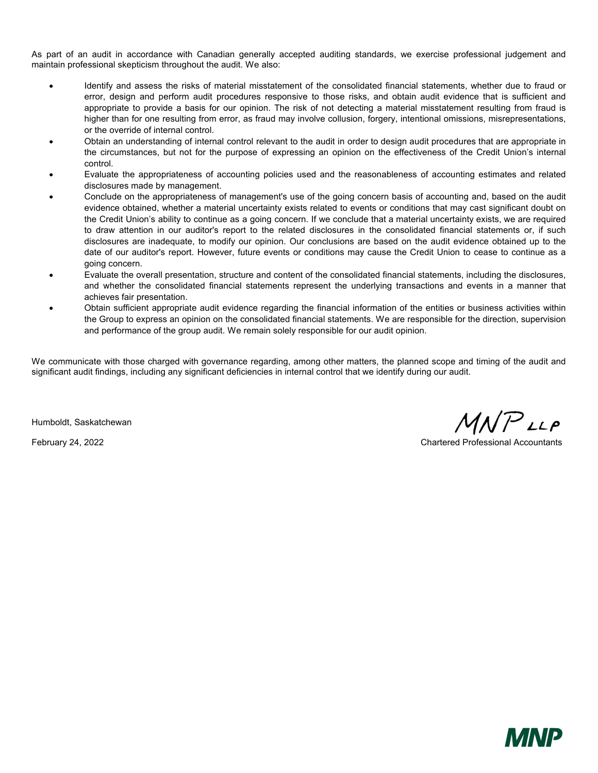As part of an audit in accordance with Canadian generally accepted auditing standards, we exercise professional judgement and maintain professional skepticism throughout the audit. We also:

- Identify and assess the risks of material misstatement of the consolidated financial statements, whether due to fraud or error, design and perform audit procedures responsive to those risks, and obtain audit evidence that is sufficient and appropriate to provide a basis for our opinion. The risk of not detecting a material misstatement resulting from fraud is higher than for one resulting from error, as fraud may involve collusion, forgery, intentional omissions, misrepresentations, or the override of internal control.
- Obtain an understanding of internal control relevant to the audit in order to design audit procedures that are appropriate in the circumstances, but not for the purpose of expressing an opinion on the effectiveness of the Credit Union's internal control.
- Evaluate the appropriateness of accounting policies used and the reasonableness of accounting estimates and related disclosures made by management.
- Conclude on the appropriateness of management's use of the going concern basis of accounting and, based on the audit evidence obtained, whether a material uncertainty exists related to events or conditions that may cast significant doubt on the Credit Union's ability to continue as a going concern. If we conclude that a material uncertainty exists, we are required to draw attention in our auditor's report to the related disclosures in the consolidated financial statements or, if such disclosures are inadequate, to modify our opinion. Our conclusions are based on the audit evidence obtained up to the date of our auditor's report. However, future events or conditions may cause the Credit Union to cease to continue as a going concern.
- Evaluate the overall presentation, structure and content of the consolidated financial statements, including the disclosures, and whether the consolidated financial statements represent the underlying transactions and events in a manner that achieves fair presentation.
- Obtain sufficient appropriate audit evidence regarding the financial information of the entities or business activities within the Group to express an opinion on the consolidated financial statements. We are responsible for the direction, supervision and performance of the group audit. We remain solely responsible for our audit opinion.

We communicate with those charged with governance regarding, among other matters, the planned scope and timing of the audit and significant audit findings, including any significant deficiencies in internal control that we identify during our audit.

Humboldt, Saskatchewan

 $MNP$ LLP

February 24, 2022 Chartered Professional Accountants

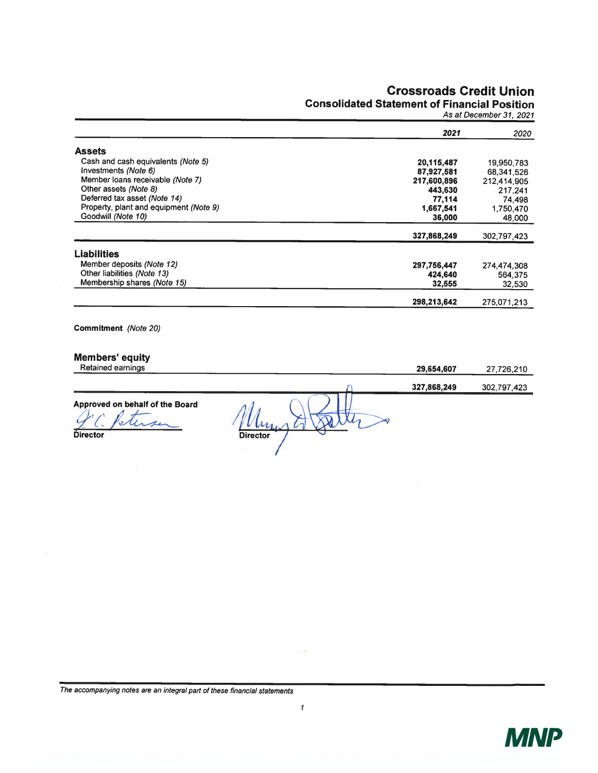# **Crossroads Credit Union**

# **Consolidated Statement of Financial Position**

As at December 31, 2021

|                                        | 2021        | 2020        |
|----------------------------------------|-------------|-------------|
| <b>Assets</b>                          |             |             |
| Cash and cash equivalents (Note 5)     | 20,115,487  |             |
| Investments (Note 6)                   |             | 19,950.783  |
| Member loans receivable (Note 7)       | 87,927,581  | 68.341.526  |
|                                        | 217,600,896 | 212,414,905 |
| Other assets (Note 8)                  | 443,630     | 217.241     |
| Deferred tax asset (Note 14)           | 77,114      | 74.498      |
| Property, plant and equipment (Note 9) | 1,667,541   | 1,750,470   |
| Goodwill (Note 10)                     | 36,000      | 48,000      |
|                                        | 327,868,249 | 302,797,423 |
| <b>Liabilities</b>                     |             |             |
| Member deposits (Note 12)              | 297,756,447 | 274,474,308 |
| Other liabilities (Note 13)            | 424,640     | 564,375     |
| Membership shares (Note 15)            | 32,555      | 32,530      |
|                                        | 298,213,642 | 275,071,213 |

Commitment (Note 20)

# Members' equity

| Retained earnings               | 29,654,607  | 27,726,210  |
|---------------------------------|-------------|-------------|
|                                 | 327,868,249 | 302,797,423 |
| Approved on behalf of the Board |             |             |
|                                 |             |             |

Director

Director

The accompanying notes are an integral part of these financial statements

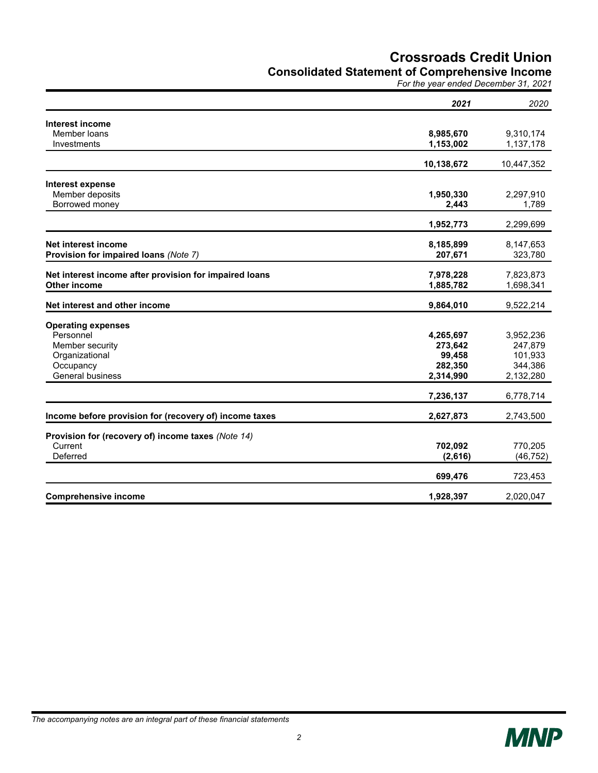# **Crossroads Credit Union**

# **Consolidated Statement of Comprehensive Income**

*For the year ended December 31, 2021*

|                                                               | 2021                 | 2020                 |
|---------------------------------------------------------------|----------------------|----------------------|
| Interest income                                               |                      |                      |
| Member loans                                                  | 8,985,670            | 9,310,174            |
| Investments                                                   | 1,153,002            | 1,137,178            |
|                                                               |                      |                      |
|                                                               | 10,138,672           | 10,447,352           |
| Interest expense                                              |                      |                      |
| Member deposits                                               | 1,950,330            | 2,297,910            |
| Borrowed money                                                | 2,443                | 1,789                |
|                                                               | 1,952,773            | 2,299,699            |
|                                                               |                      |                      |
| Net interest income                                           | 8,185,899            | 8,147,653            |
| Provision for impaired loans (Note 7)                         | 207,671              | 323,780              |
| Net interest income after provision for impaired loans        | 7,978,228            | 7,823,873            |
| <b>Other income</b>                                           | 1,885,782            | 1,698,341            |
| Net interest and other income                                 | 9,864,010            | 9,522,214            |
|                                                               |                      |                      |
| <b>Operating expenses</b><br>Personnel                        |                      |                      |
| Member security                                               | 4,265,697<br>273,642 | 3,952,236<br>247,879 |
|                                                               |                      | 101,933              |
| Organizational<br>Occupancy                                   | 99,458<br>282,350    | 344,386              |
| General business                                              | 2,314,990            | 2,132,280            |
|                                                               |                      |                      |
|                                                               | 7,236,137            | 6,778,714            |
| Income before provision for (recovery of) income taxes        | 2,627,873            | 2,743,500            |
|                                                               |                      |                      |
| Provision for (recovery of) income taxes (Note 14)<br>Current |                      |                      |
| Deferred                                                      | 702,092<br>(2,616)   | 770,205<br>(46, 752) |
|                                                               |                      |                      |
|                                                               | 699,476              | 723,453              |
| <b>Comprehensive income</b>                                   | 1,928,397            | 2,020,047            |

*The accompanying notes are an integral part of these financial statements*

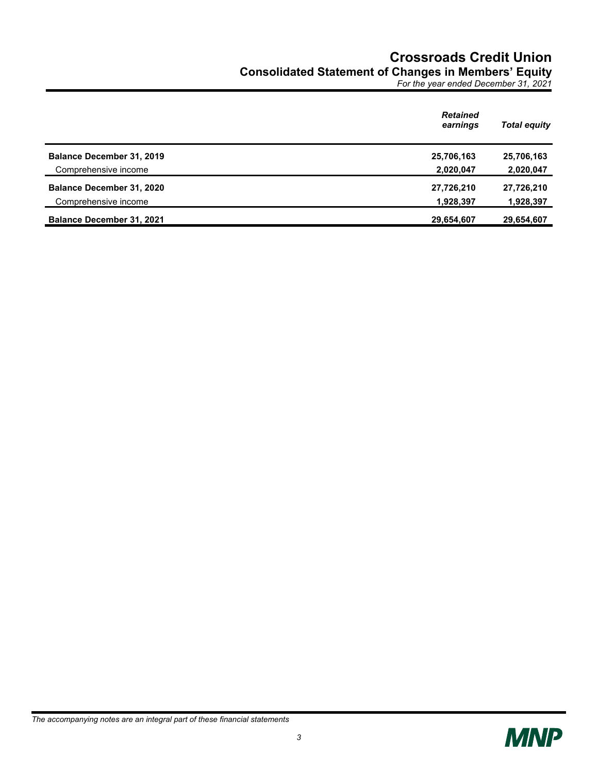# **Crossroads Credit Union Consolidated Statement of Changes in Members' Equity**

*For the year ended December 31, 2021*

|                                  | <b>Retained</b><br>earnings | <b>Total equity</b> |
|----------------------------------|-----------------------------|---------------------|
| <b>Balance December 31, 2019</b> | 25,706,163                  | 25,706,163          |
| Comprehensive income             | 2,020,047                   | 2,020,047           |
| <b>Balance December 31, 2020</b> | 27,726,210                  | 27,726,210          |
| Comprehensive income             | 1,928,397                   | 1,928,397           |
| <b>Balance December 31, 2021</b> | 29,654,607                  | 29,654,607          |

*The accompanying notes are an integral part of these financial statements*

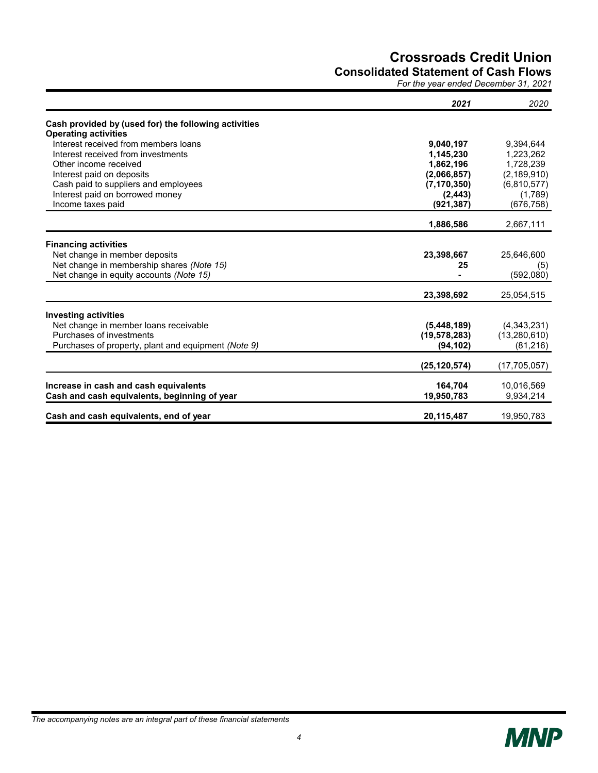# **Crossroads Credit Union**

# **Consolidated Statement of Cash Flows**

*For the year ended December 31, 2021*

|                                                      | 2021           | 2020           |
|------------------------------------------------------|----------------|----------------|
| Cash provided by (used for) the following activities |                |                |
| <b>Operating activities</b>                          |                |                |
| Interest received from members loans                 | 9,040,197      | 9,394,644      |
| Interest received from investments                   | 1,145,230      | 1,223,262      |
| Other income received                                | 1,862,196      | 1,728,239      |
| Interest paid on deposits                            | (2,066,857)    | (2, 189, 910)  |
| Cash paid to suppliers and employees                 | (7, 170, 350)  | (6,810,577)    |
| Interest paid on borrowed money                      | (2, 443)       | (1,789)        |
| Income taxes paid                                    | (921, 387)     | (676, 758)     |
|                                                      | 1,886,586      | 2,667,111      |
| <b>Financing activities</b>                          |                |                |
| Net change in member deposits                        | 23,398,667     | 25,646,600     |
| Net change in membership shares (Note 15)            | 25             | (5)            |
| Net change in equity accounts (Note 15)              |                | (592,080)      |
|                                                      | 23,398,692     | 25,054,515     |
| <b>Investing activities</b>                          |                |                |
| Net change in member loans receivable                | (5,448,189)    | (4,343,231)    |
| Purchases of investments                             | (19, 578, 283) | (13, 280, 610) |
| Purchases of property, plant and equipment (Note 9)  | (94, 102)      | (81, 216)      |
|                                                      | (25, 120, 574) | (17,705,057)   |
| Increase in cash and cash equivalents                | 164,704        | 10,016,569     |
| Cash and cash equivalents, beginning of year         | 19,950,783     | 9,934,214      |
| Cash and cash equivalents, end of year               | 20,115,487     | 19,950,783     |

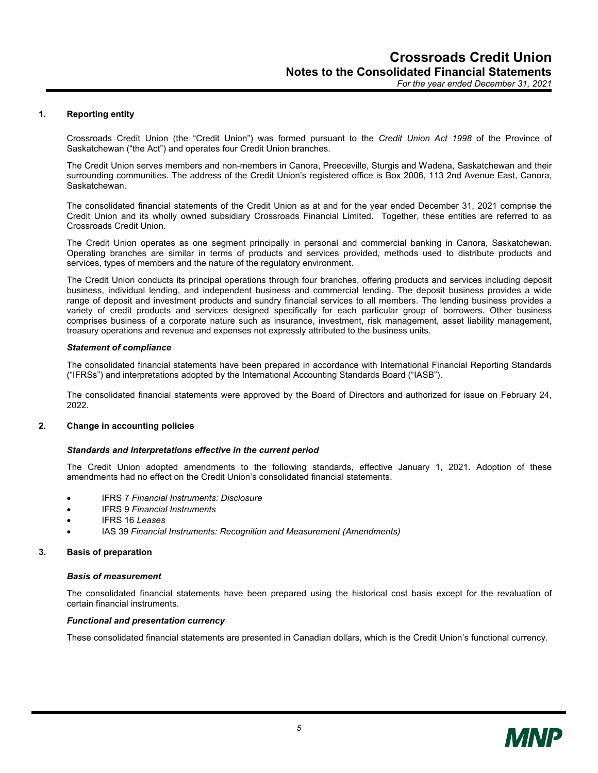## **1. Reporting entity**

Crossroads Credit Union (the "Credit Union") was formed pursuant to the *Credit Union Act 1998* of the Province of Saskatchewan ("the Act") and operates four Credit Union branches.

The Credit Union serves members and non-members in Canora, Preeceville, Sturgis and Wadena, Saskatchewan and their surrounding communities. The address of the Credit Union's registered office is Box 2006, 113 2nd Avenue East, Canora, Saskatchewan.

The consolidated financial statements of the Credit Union as at and for the year ended December 31, 2021 comprise the Credit Union and its wholly owned subsidiary Crossroads Financial Limited. Together, these entities are referred to as Crossroads Credit Union.

The Credit Union operates as one segment principally in personal and commercial banking in Canora, Saskatchewan. Operating branches are similar in terms of products and services provided, methods used to distribute products and services, types of members and the nature of the regulatory environment.

The Credit Union conducts its principal operations through four branches, offering products and services including deposit business, individual lending, and independent business and commercial lending. The deposit business provides a wide range of deposit and investment products and sundry financial services to all members. The lending business provides a variety of credit products and services designed specifically for each particular group of borrowers. Other business comprises business of a corporate nature such as insurance, investment, risk management, asset liability management, treasury operations and revenue and expenses not expressly attributed to the business units.

## *Statement of compliance*

The consolidated financial statements have been prepared in accordance with International Financial Reporting Standards ("IFRSs") and interpretations adopted by the International Accounting Standards Board ("IASB").

The consolidated financial statements were approved by the Board of Directors and authorized for issue on February 24, 2022.

## **2. Change in accounting policies**

## *Standards and Interpretations effective in the current period*

The Credit Union adopted amendments to the following standards, effective January 1, 2021. Adoption of these amendments had no effect on the Credit Union's consolidated financial statements.

- IFRS 7 *Financial Instruments: Disclosure*
- IFRS 9 *Financial Instruments*
- IFRS 16 *Leases*
- IAS 39 *Financial Instruments: Recognition and Measurement (Amendments)*

## **3. Basis of preparation**

#### *Basis of measurement*

The consolidated financial statements have been prepared using the historical cost basis except for the revaluation of certain financial instruments.

#### *Functional and presentation currency*

These consolidated financial statements are presented in Canadian dollars, which is the Credit Union's functional currency.

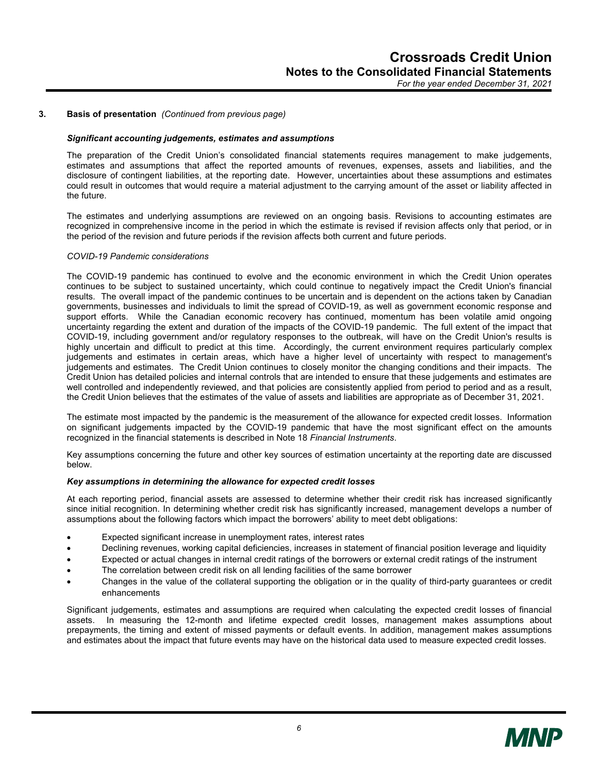# **3. Basis of presentation** *(Continued from previous page)*

#### *Significant accounting judgements, estimates and assumptions*

The preparation of the Credit Union's consolidated financial statements requires management to make judgements, estimates and assumptions that affect the reported amounts of revenues, expenses, assets and liabilities, and the disclosure of contingent liabilities, at the reporting date. However, uncertainties about these assumptions and estimates could result in outcomes that would require a material adjustment to the carrying amount of the asset or liability affected in the future.

The estimates and underlying assumptions are reviewed on an ongoing basis. Revisions to accounting estimates are recognized in comprehensive income in the period in which the estimate is revised if revision affects only that period, or in the period of the revision and future periods if the revision affects both current and future periods.

#### *COVID-19 Pandemic considerations*

The COVID-19 pandemic has continued to evolve and the economic environment in which the Credit Union operates continues to be subject to sustained uncertainty, which could continue to negatively impact the Credit Union's financial results. The overall impact of the pandemic continues to be uncertain and is dependent on the actions taken by Canadian governments, businesses and individuals to limit the spread of COVID-19, as well as government economic response and support efforts. While the Canadian economic recovery has continued, momentum has been volatile amid ongoing uncertainty regarding the extent and duration of the impacts of the COVID-19 pandemic. The full extent of the impact that COVID-19, including government and/or regulatory responses to the outbreak, will have on the Credit Union's results is highly uncertain and difficult to predict at this time. Accordingly, the current environment requires particularly complex judgements and estimates in certain areas, which have a higher level of uncertainty with respect to management's judgements and estimates. The Credit Union continues to closely monitor the changing conditions and their impacts. The Credit Union has detailed policies and internal controls that are intended to ensure that these judgements and estimates are well controlled and independently reviewed, and that policies are consistently applied from period to period and as a result, the Credit Union believes that the estimates of the value of assets and liabilities are appropriate as of December 31, 2021.

The estimate most impacted by the pandemic is the measurement of the allowance for expected credit losses. Information on significant judgements impacted by the COVID-19 pandemic that have the most significant effect on the amounts recognized in the financial statements is described in Note 18 *Financial Instruments*.

Key assumptions concerning the future and other key sources of estimation uncertainty at the reporting date are discussed below.

#### *Key assumptions in determining the allowance for expected credit losses*

At each reporting period, financial assets are assessed to determine whether their credit risk has increased significantly since initial recognition. In determining whether credit risk has significantly increased, management develops a number of assumptions about the following factors which impact the borrowers' ability to meet debt obligations:

- Expected significant increase in unemployment rates, interest rates
- Declining revenues, working capital deficiencies, increases in statement of financial position leverage and liquidity
- Expected or actual changes in internal credit ratings of the borrowers or external credit ratings of the instrument
- The correlation between credit risk on all lending facilities of the same borrower
- Changes in the value of the collateral supporting the obligation or in the quality of third-party guarantees or credit enhancements

Significant judgements, estimates and assumptions are required when calculating the expected credit losses of financial assets. In measuring the 12-month and lifetime expected credit losses, management makes assumptions about prepayments, the timing and extent of missed payments or default events. In addition, management makes assumptions and estimates about the impact that future events may have on the historical data used to measure expected credit losses.

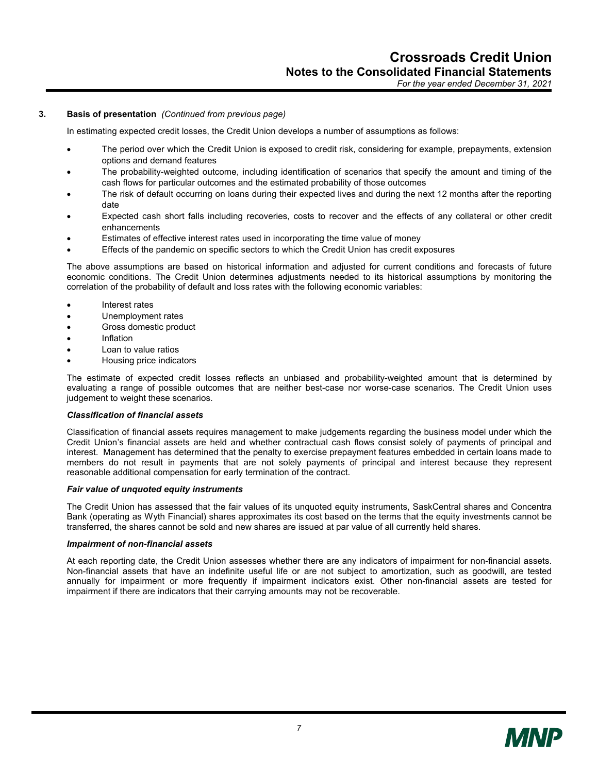# **3. Basis of presentation** *(Continued from previous page)*

In estimating expected credit losses, the Credit Union develops a number of assumptions as follows:

- The period over which the Credit Union is exposed to credit risk, considering for example, prepayments, extension options and demand features
- The probability-weighted outcome, including identification of scenarios that specify the amount and timing of the cash flows for particular outcomes and the estimated probability of those outcomes
- The risk of default occurring on loans during their expected lives and during the next 12 months after the reporting date
- Expected cash short falls including recoveries, costs to recover and the effects of any collateral or other credit enhancements
- Estimates of effective interest rates used in incorporating the time value of money
- Effects of the pandemic on specific sectors to which the Credit Union has credit exposures

The above assumptions are based on historical information and adjusted for current conditions and forecasts of future economic conditions. The Credit Union determines adjustments needed to its historical assumptions by monitoring the correlation of the probability of default and loss rates with the following economic variables:

- Interest rates
- Unemployment rates
- Gross domestic product
- Inflation
- Loan to value ratios
- Housing price indicators

The estimate of expected credit losses reflects an unbiased and probability-weighted amount that is determined by evaluating a range of possible outcomes that are neither best-case nor worse-case scenarios. The Credit Union uses judgement to weight these scenarios.

## *Classification of financial assets*

Classification of financial assets requires management to make judgements regarding the business model under which the Credit Union's financial assets are held and whether contractual cash flows consist solely of payments of principal and interest. Management has determined that the penalty to exercise prepayment features embedded in certain loans made to members do not result in payments that are not solely payments of principal and interest because they represent reasonable additional compensation for early termination of the contract.

## *Fair value of unquoted equity instruments*

The Credit Union has assessed that the fair values of its unquoted equity instruments, SaskCentral shares and Concentra Bank (operating as Wyth Financial) shares approximates its cost based on the terms that the equity investments cannot be transferred, the shares cannot be sold and new shares are issued at par value of all currently held shares.

## *Impairment of non-financial assets*

At each reporting date, the Credit Union assesses whether there are any indicators of impairment for non-financial assets. Non-financial assets that have an indefinite useful life or are not subject to amortization, such as goodwill, are tested annually for impairment or more frequently if impairment indicators exist. Other non-financial assets are tested for impairment if there are indicators that their carrying amounts may not be recoverable.

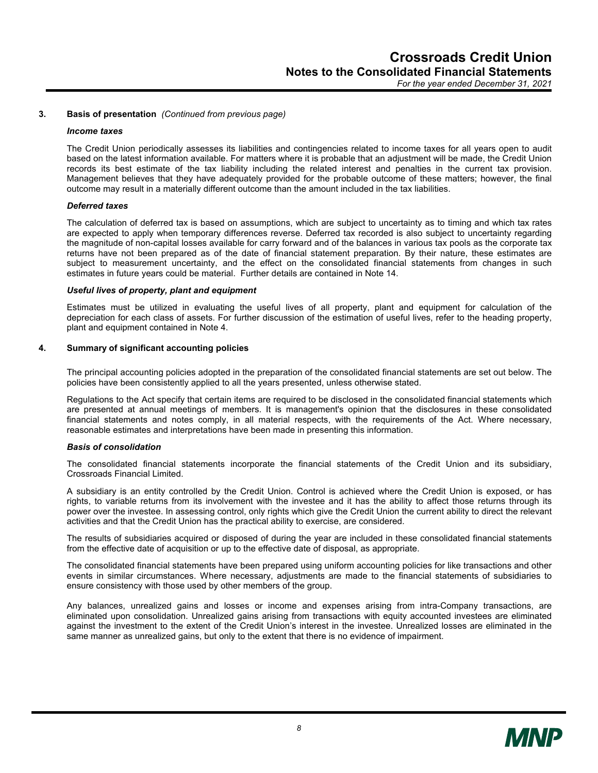## **3. Basis of presentation** *(Continued from previous page)*

#### *Income taxes*

The Credit Union periodically assesses its liabilities and contingencies related to income taxes for all years open to audit based on the latest information available. For matters where it is probable that an adjustment will be made, the Credit Union records its best estimate of the tax liability including the related interest and penalties in the current tax provision. Management believes that they have adequately provided for the probable outcome of these matters; however, the final outcome may result in a materially different outcome than the amount included in the tax liabilities.

#### *Deferred taxes*

The calculation of deferred tax is based on assumptions, which are subject to uncertainty as to timing and which tax rates are expected to apply when temporary differences reverse. Deferred tax recorded is also subject to uncertainty regarding the magnitude of non-capital losses available for carry forward and of the balances in various tax pools as the corporate tax returns have not been prepared as of the date of financial statement preparation. By their nature, these estimates are subject to measurement uncertainty, and the effect on the consolidated financial statements from changes in such estimates in future years could be material. Further details are contained in Note 14.

#### *Useful lives of property, plant and equipment*

Estimates must be utilized in evaluating the useful lives of all property, plant and equipment for calculation of the depreciation for each class of assets. For further discussion of the estimation of useful lives, refer to the heading property, plant and equipment contained in Note 4.

## **4. Summary of significant accounting policies**

The principal accounting policies adopted in the preparation of the consolidated financial statements are set out below. The policies have been consistently applied to all the years presented, unless otherwise stated.

Regulations to the Act specify that certain items are required to be disclosed in the consolidated financial statements which are presented at annual meetings of members. It is management's opinion that the disclosures in these consolidated financial statements and notes comply, in all material respects, with the requirements of the Act. Where necessary, reasonable estimates and interpretations have been made in presenting this information.

## *Basis of consolidation*

The consolidated financial statements incorporate the financial statements of the Credit Union and its subsidiary, Crossroads Financial Limited.

A subsidiary is an entity controlled by the Credit Union. Control is achieved where the Credit Union is exposed, or has rights, to variable returns from its involvement with the investee and it has the ability to affect those returns through its power over the investee. In assessing control, only rights which give the Credit Union the current ability to direct the relevant activities and that the Credit Union has the practical ability to exercise, are considered.

The results of subsidiaries acquired or disposed of during the year are included in these consolidated financial statements from the effective date of acquisition or up to the effective date of disposal, as appropriate.

The consolidated financial statements have been prepared using uniform accounting policies for like transactions and other events in similar circumstances. Where necessary, adjustments are made to the financial statements of subsidiaries to ensure consistency with those used by other members of the group.

Any balances, unrealized gains and losses or income and expenses arising from intra-Company transactions, are eliminated upon consolidation. Unrealized gains arising from transactions with equity accounted investees are eliminated against the investment to the extent of the Credit Union's interest in the investee. Unrealized losses are eliminated in the same manner as unrealized gains, but only to the extent that there is no evidence of impairment.

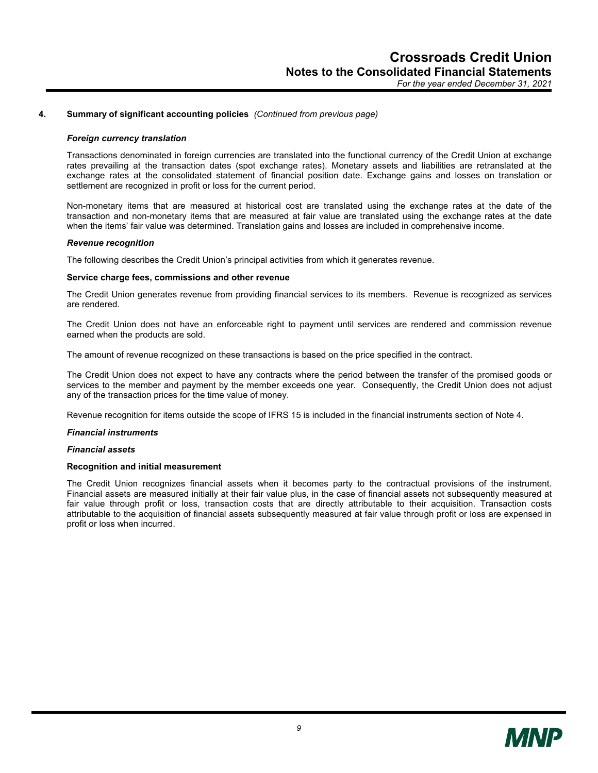#### *Foreign currency translation*

Transactions denominated in foreign currencies are translated into the functional currency of the Credit Union at exchange rates prevailing at the transaction dates (spot exchange rates). Monetary assets and liabilities are retranslated at the exchange rates at the consolidated statement of financial position date. Exchange gains and losses on translation or settlement are recognized in profit or loss for the current period.

Non-monetary items that are measured at historical cost are translated using the exchange rates at the date of the transaction and non-monetary items that are measured at fair value are translated using the exchange rates at the date when the items' fair value was determined. Translation gains and losses are included in comprehensive income.

#### *Revenue recognition*

The following describes the Credit Union's principal activities from which it generates revenue.

#### **Service charge fees, commissions and other revenue**

The Credit Union generates revenue from providing financial services to its members. Revenue is recognized as services are rendered.

The Credit Union does not have an enforceable right to payment until services are rendered and commission revenue earned when the products are sold.

The amount of revenue recognized on these transactions is based on the price specified in the contract.

The Credit Union does not expect to have any contracts where the period between the transfer of the promised goods or services to the member and payment by the member exceeds one year. Consequently, the Credit Union does not adjust any of the transaction prices for the time value of money.

Revenue recognition for items outside the scope of IFRS 15 is included in the financial instruments section of Note 4.

## *Financial instruments*

#### *Financial assets*

## **Recognition and initial measurement**

The Credit Union recognizes financial assets when it becomes party to the contractual provisions of the instrument. Financial assets are measured initially at their fair value plus, in the case of financial assets not subsequently measured at fair value through profit or loss, transaction costs that are directly attributable to their acquisition. Transaction costs attributable to the acquisition of financial assets subsequently measured at fair value through profit or loss are expensed in profit or loss when incurred.

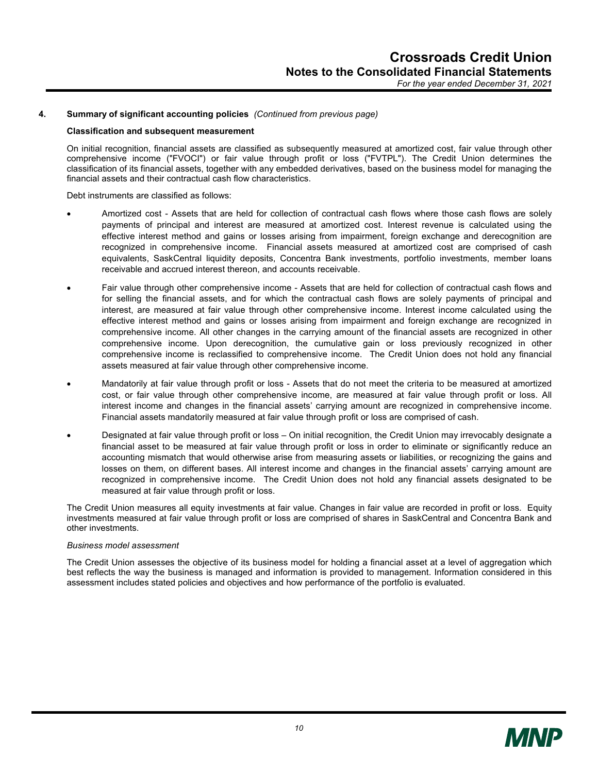## **Classification and subsequent measurement**

On initial recognition, financial assets are classified as subsequently measured at amortized cost, fair value through other comprehensive income ("FVOCI") or fair value through profit or loss ("FVTPL"). The Credit Union determines the classification of its financial assets, together with any embedded derivatives, based on the business model for managing the financial assets and their contractual cash flow characteristics.

Debt instruments are classified as follows:

- Amortized cost Assets that are held for collection of contractual cash flows where those cash flows are solely payments of principal and interest are measured at amortized cost. Interest revenue is calculated using the effective interest method and gains or losses arising from impairment, foreign exchange and derecognition are recognized in comprehensive income. Financial assets measured at amortized cost are comprised of cash equivalents, SaskCentral liquidity deposits, Concentra Bank investments, portfolio investments, member loans receivable and accrued interest thereon, and accounts receivable.
- Fair value through other comprehensive income Assets that are held for collection of contractual cash flows and for selling the financial assets, and for which the contractual cash flows are solely payments of principal and interest, are measured at fair value through other comprehensive income. Interest income calculated using the effective interest method and gains or losses arising from impairment and foreign exchange are recognized in comprehensive income. All other changes in the carrying amount of the financial assets are recognized in other comprehensive income. Upon derecognition, the cumulative gain or loss previously recognized in other comprehensive income is reclassified to comprehensive income. The Credit Union does not hold any financial assets measured at fair value through other comprehensive income.
- Mandatorily at fair value through profit or loss Assets that do not meet the criteria to be measured at amortized cost, or fair value through other comprehensive income, are measured at fair value through profit or loss. All interest income and changes in the financial assets' carrying amount are recognized in comprehensive income. Financial assets mandatorily measured at fair value through profit or loss are comprised of cash.
- Designated at fair value through profit or loss On initial recognition, the Credit Union may irrevocably designate a financial asset to be measured at fair value through profit or loss in order to eliminate or significantly reduce an accounting mismatch that would otherwise arise from measuring assets or liabilities, or recognizing the gains and losses on them, on different bases. All interest income and changes in the financial assets' carrying amount are recognized in comprehensive income. The Credit Union does not hold any financial assets designated to be measured at fair value through profit or loss.

The Credit Union measures all equity investments at fair value. Changes in fair value are recorded in profit or loss. Equity investments measured at fair value through profit or loss are comprised of shares in SaskCentral and Concentra Bank and other investments.

#### *Business model assessment*

The Credit Union assesses the objective of its business model for holding a financial asset at a level of aggregation which best reflects the way the business is managed and information is provided to management. Information considered in this assessment includes stated policies and objectives and how performance of the portfolio is evaluated.

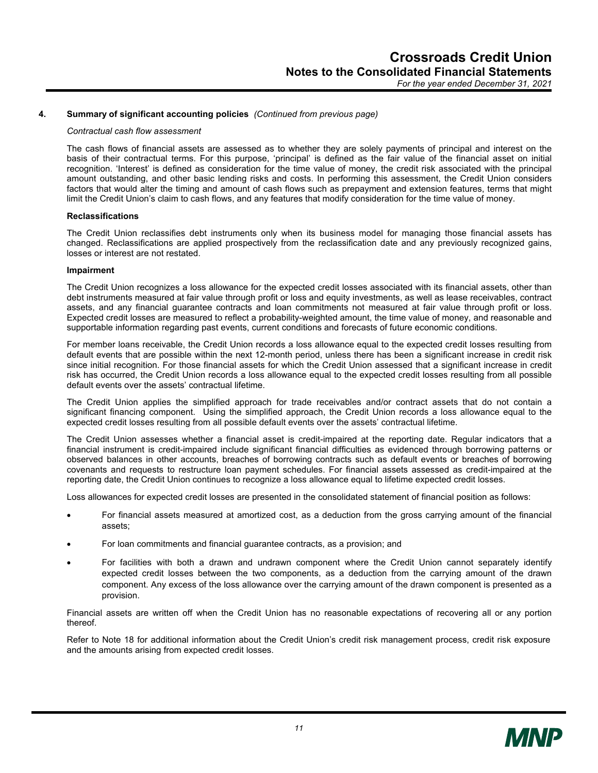#### *Contractual cash flow assessment*

The cash flows of financial assets are assessed as to whether they are solely payments of principal and interest on the basis of their contractual terms. For this purpose, 'principal' is defined as the fair value of the financial asset on initial recognition. 'Interest' is defined as consideration for the time value of money, the credit risk associated with the principal amount outstanding, and other basic lending risks and costs. In performing this assessment, the Credit Union considers factors that would alter the timing and amount of cash flows such as prepayment and extension features, terms that might limit the Credit Union's claim to cash flows, and any features that modify consideration for the time value of money.

#### **Reclassifications**

The Credit Union reclassifies debt instruments only when its business model for managing those financial assets has changed. Reclassifications are applied prospectively from the reclassification date and any previously recognized gains, losses or interest are not restated.

#### **Impairment**

The Credit Union recognizes a loss allowance for the expected credit losses associated with its financial assets, other than debt instruments measured at fair value through profit or loss and equity investments, as well as lease receivables, contract assets, and any financial guarantee contracts and loan commitments not measured at fair value through profit or loss. Expected credit losses are measured to reflect a probability-weighted amount, the time value of money, and reasonable and supportable information regarding past events, current conditions and forecasts of future economic conditions.

For member loans receivable, the Credit Union records a loss allowance equal to the expected credit losses resulting from default events that are possible within the next 12-month period, unless there has been a significant increase in credit risk since initial recognition. For those financial assets for which the Credit Union assessed that a significant increase in credit risk has occurred, the Credit Union records a loss allowance equal to the expected credit losses resulting from all possible default events over the assets' contractual lifetime.

The Credit Union applies the simplified approach for trade receivables and/or contract assets that do not contain a significant financing component. Using the simplified approach, the Credit Union records a loss allowance equal to the expected credit losses resulting from all possible default events over the assets' contractual lifetime.

The Credit Union assesses whether a financial asset is credit-impaired at the reporting date. Regular indicators that a financial instrument is credit-impaired include significant financial difficulties as evidenced through borrowing patterns or observed balances in other accounts, breaches of borrowing contracts such as default events or breaches of borrowing covenants and requests to restructure loan payment schedules. For financial assets assessed as credit-impaired at the reporting date, the Credit Union continues to recognize a loss allowance equal to lifetime expected credit losses.

Loss allowances for expected credit losses are presented in the consolidated statement of financial position as follows:

- For financial assets measured at amortized cost, as a deduction from the gross carrying amount of the financial assets;
- For loan commitments and financial guarantee contracts, as a provision; and
- For facilities with both a drawn and undrawn component where the Credit Union cannot separately identify expected credit losses between the two components, as a deduction from the carrying amount of the drawn component. Any excess of the loss allowance over the carrying amount of the drawn component is presented as a provision.

Financial assets are written off when the Credit Union has no reasonable expectations of recovering all or any portion thereof.

Refer to Note 18 for additional information about the Credit Union's credit risk management process, credit risk exposure and the amounts arising from expected credit losses.

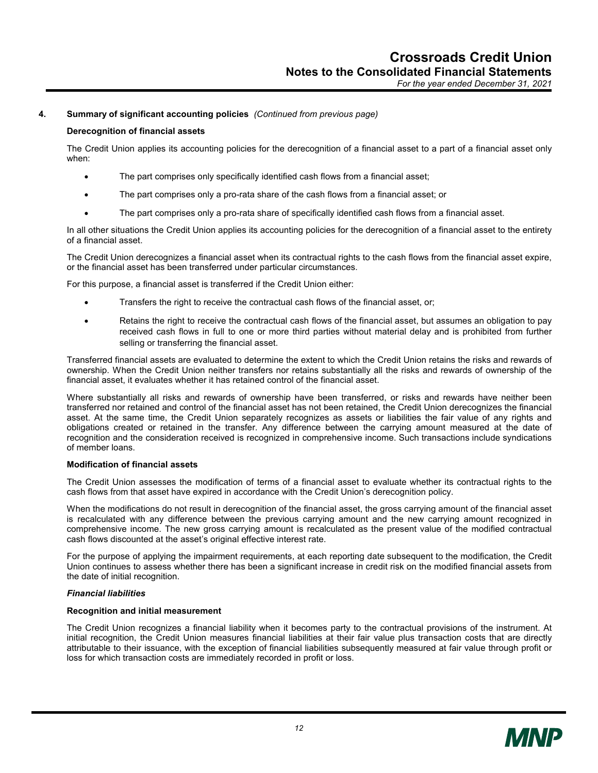# **Derecognition of financial assets**

The Credit Union applies its accounting policies for the derecognition of a financial asset to a part of a financial asset only when:

- The part comprises only specifically identified cash flows from a financial asset;
- The part comprises only a pro-rata share of the cash flows from a financial asset; or
- The part comprises only a pro-rata share of specifically identified cash flows from a financial asset.

In all other situations the Credit Union applies its accounting policies for the derecognition of a financial asset to the entirety of a financial asset.

The Credit Union derecognizes a financial asset when its contractual rights to the cash flows from the financial asset expire, or the financial asset has been transferred under particular circumstances.

For this purpose, a financial asset is transferred if the Credit Union either:

- Transfers the right to receive the contractual cash flows of the financial asset, or;
- Retains the right to receive the contractual cash flows of the financial asset, but assumes an obligation to pay received cash flows in full to one or more third parties without material delay and is prohibited from further selling or transferring the financial asset.

Transferred financial assets are evaluated to determine the extent to which the Credit Union retains the risks and rewards of ownership. When the Credit Union neither transfers nor retains substantially all the risks and rewards of ownership of the financial asset, it evaluates whether it has retained control of the financial asset.

Where substantially all risks and rewards of ownership have been transferred, or risks and rewards have neither been transferred nor retained and control of the financial asset has not been retained, the Credit Union derecognizes the financial asset. At the same time, the Credit Union separately recognizes as assets or liabilities the fair value of any rights and obligations created or retained in the transfer. Any difference between the carrying amount measured at the date of recognition and the consideration received is recognized in comprehensive income. Such transactions include syndications of member loans.

# **Modification of financial assets**

The Credit Union assesses the modification of terms of a financial asset to evaluate whether its contractual rights to the cash flows from that asset have expired in accordance with the Credit Union's derecognition policy.

When the modifications do not result in derecognition of the financial asset, the gross carrying amount of the financial asset is recalculated with any difference between the previous carrying amount and the new carrying amount recognized in comprehensive income. The new gross carrying amount is recalculated as the present value of the modified contractual cash flows discounted at the asset's original effective interest rate.

For the purpose of applying the impairment requirements, at each reporting date subsequent to the modification, the Credit Union continues to assess whether there has been a significant increase in credit risk on the modified financial assets from the date of initial recognition.

# *Financial liabilities*

# **Recognition and initial measurement**

The Credit Union recognizes a financial liability when it becomes party to the contractual provisions of the instrument. At initial recognition, the Credit Union measures financial liabilities at their fair value plus transaction costs that are directly attributable to their issuance, with the exception of financial liabilities subsequently measured at fair value through profit or loss for which transaction costs are immediately recorded in profit or loss.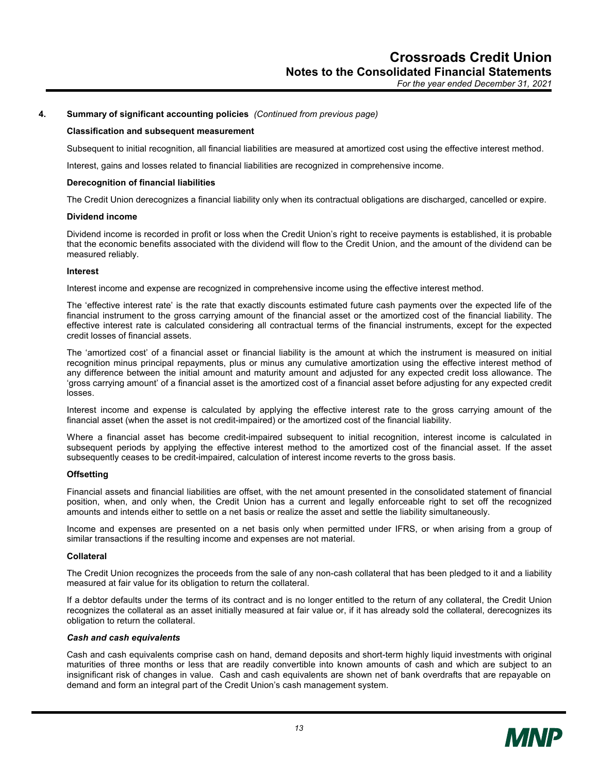#### **Classification and subsequent measurement**

Subsequent to initial recognition, all financial liabilities are measured at amortized cost using the effective interest method.

Interest, gains and losses related to financial liabilities are recognized in comprehensive income.

#### **Derecognition of financial liabilities**

The Credit Union derecognizes a financial liability only when its contractual obligations are discharged, cancelled or expire.

#### **Dividend income**

Dividend income is recorded in profit or loss when the Credit Union's right to receive payments is established, it is probable that the economic benefits associated with the dividend will flow to the Credit Union, and the amount of the dividend can be measured reliably.

#### **Interest**

Interest income and expense are recognized in comprehensive income using the effective interest method.

The 'effective interest rate' is the rate that exactly discounts estimated future cash payments over the expected life of the financial instrument to the gross carrying amount of the financial asset or the amortized cost of the financial liability. The effective interest rate is calculated considering all contractual terms of the financial instruments, except for the expected credit losses of financial assets.

The 'amortized cost' of a financial asset or financial liability is the amount at which the instrument is measured on initial recognition minus principal repayments, plus or minus any cumulative amortization using the effective interest method of any difference between the initial amount and maturity amount and adjusted for any expected credit loss allowance. The 'gross carrying amount' of a financial asset is the amortized cost of a financial asset before adjusting for any expected credit losses.

Interest income and expense is calculated by applying the effective interest rate to the gross carrying amount of the financial asset (when the asset is not credit-impaired) or the amortized cost of the financial liability.

Where a financial asset has become credit-impaired subsequent to initial recognition, interest income is calculated in subsequent periods by applying the effective interest method to the amortized cost of the financial asset. If the asset subsequently ceases to be credit-impaired, calculation of interest income reverts to the gross basis.

## **Offsetting**

Financial assets and financial liabilities are offset, with the net amount presented in the consolidated statement of financial position, when, and only when, the Credit Union has a current and legally enforceable right to set off the recognized amounts and intends either to settle on a net basis or realize the asset and settle the liability simultaneously.

Income and expenses are presented on a net basis only when permitted under IFRS, or when arising from a group of similar transactions if the resulting income and expenses are not material.

## **Collateral**

The Credit Union recognizes the proceeds from the sale of any non-cash collateral that has been pledged to it and a liability measured at fair value for its obligation to return the collateral.

If a debtor defaults under the terms of its contract and is no longer entitled to the return of any collateral, the Credit Union recognizes the collateral as an asset initially measured at fair value or, if it has already sold the collateral, derecognizes its obligation to return the collateral.

#### *Cash and cash equivalents*

Cash and cash equivalents comprise cash on hand, demand deposits and short-term highly liquid investments with original maturities of three months or less that are readily convertible into known amounts of cash and which are subject to an insignificant risk of changes in value. Cash and cash equivalents are shown net of bank overdrafts that are repayable on demand and form an integral part of the Credit Union's cash management system.

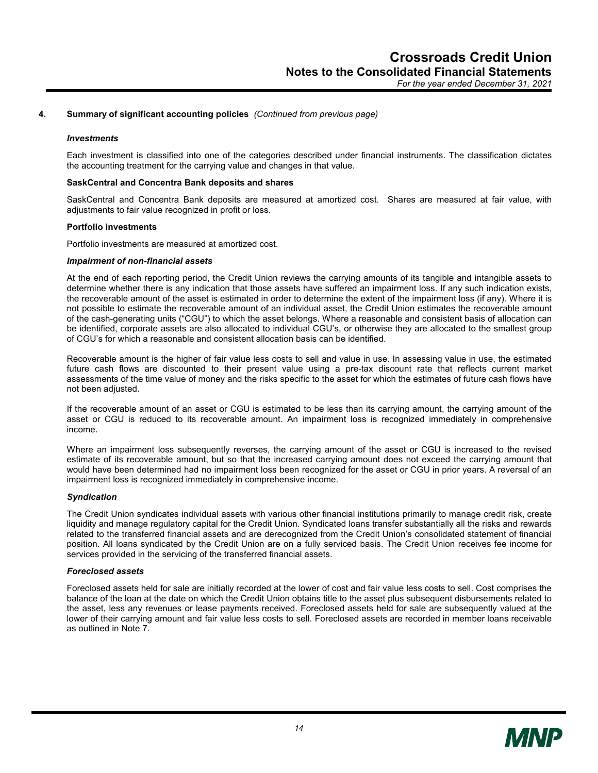#### *Investments*

Each investment is classified into one of the categories described under financial instruments. The classification dictates the accounting treatment for the carrying value and changes in that value.

#### **SaskCentral and Concentra Bank deposits and shares**

SaskCentral and Concentra Bank deposits are measured at amortized cost. Shares are measured at fair value, with adjustments to fair value recognized in profit or loss.

#### **Portfolio investments**

Portfolio investments are measured at amortized cost.

#### *Impairment of non-financial assets*

At the end of each reporting period, the Credit Union reviews the carrying amounts of its tangible and intangible assets to determine whether there is any indication that those assets have suffered an impairment loss. If any such indication exists, the recoverable amount of the asset is estimated in order to determine the extent of the impairment loss (if any). Where it is not possible to estimate the recoverable amount of an individual asset, the Credit Union estimates the recoverable amount of the cash-generating units ("CGU") to which the asset belongs. Where a reasonable and consistent basis of allocation can be identified, corporate assets are also allocated to individual CGU's, or otherwise they are allocated to the smallest group of CGU's for which a reasonable and consistent allocation basis can be identified.

Recoverable amount is the higher of fair value less costs to sell and value in use. In assessing value in use, the estimated future cash flows are discounted to their present value using a pre-tax discount rate that reflects current market assessments of the time value of money and the risks specific to the asset for which the estimates of future cash flows have not been adjusted.

If the recoverable amount of an asset or CGU is estimated to be less than its carrying amount, the carrying amount of the asset or CGU is reduced to its recoverable amount. An impairment loss is recognized immediately in comprehensive income.

Where an impairment loss subsequently reverses, the carrying amount of the asset or CGU is increased to the revised estimate of its recoverable amount, but so that the increased carrying amount does not exceed the carrying amount that would have been determined had no impairment loss been recognized for the asset or CGU in prior years. A reversal of an impairment loss is recognized immediately in comprehensive income.

## *Syndication*

The Credit Union syndicates individual assets with various other financial institutions primarily to manage credit risk, create liquidity and manage regulatory capital for the Credit Union. Syndicated loans transfer substantially all the risks and rewards related to the transferred financial assets and are derecognized from the Credit Union's consolidated statement of financial position. All loans syndicated by the Credit Union are on a fully serviced basis. The Credit Union receives fee income for services provided in the servicing of the transferred financial assets.

## *Foreclosed assets*

Foreclosed assets held for sale are initially recorded at the lower of cost and fair value less costs to sell. Cost comprises the balance of the loan at the date on which the Credit Union obtains title to the asset plus subsequent disbursements related to the asset, less any revenues or lease payments received. Foreclosed assets held for sale are subsequently valued at the lower of their carrying amount and fair value less costs to sell. Foreclosed assets are recorded in member loans receivable as outlined in Note 7.

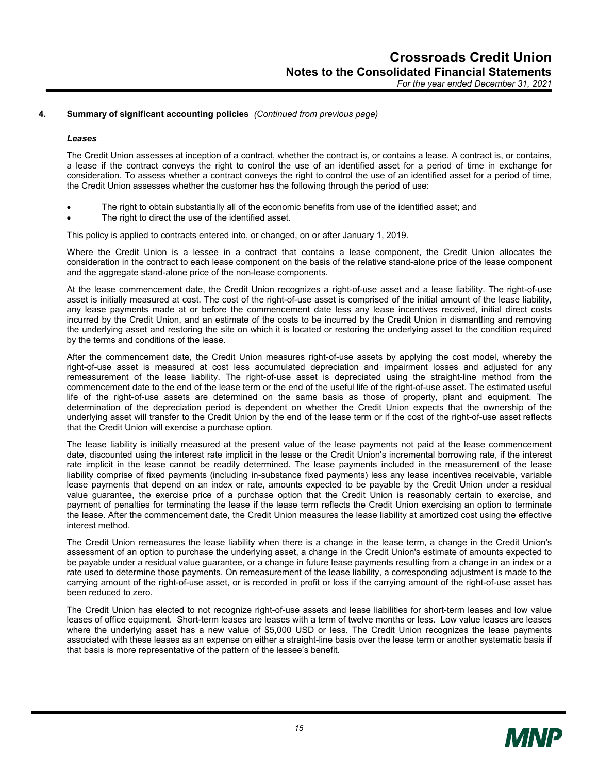# *Leases*

The Credit Union assesses at inception of a contract, whether the contract is, or contains a lease. A contract is, or contains, a lease if the contract conveys the right to control the use of an identified asset for a period of time in exchange for consideration. To assess whether a contract conveys the right to control the use of an identified asset for a period of time, the Credit Union assesses whether the customer has the following through the period of use:

- The right to obtain substantially all of the economic benefits from use of the identified asset; and
- The right to direct the use of the identified asset.

This policy is applied to contracts entered into, or changed, on or after January 1, 2019.

Where the Credit Union is a lessee in a contract that contains a lease component, the Credit Union allocates the consideration in the contract to each lease component on the basis of the relative stand-alone price of the lease component and the aggregate stand-alone price of the non-lease components.

At the lease commencement date, the Credit Union recognizes a right-of-use asset and a lease liability. The right-of-use asset is initially measured at cost. The cost of the right-of-use asset is comprised of the initial amount of the lease liability, any lease payments made at or before the commencement date less any lease incentives received, initial direct costs incurred by the Credit Union, and an estimate of the costs to be incurred by the Credit Union in dismantling and removing the underlying asset and restoring the site on which it is located or restoring the underlying asset to the condition required by the terms and conditions of the lease.

After the commencement date, the Credit Union measures right-of-use assets by applying the cost model, whereby the right-of-use asset is measured at cost less accumulated depreciation and impairment losses and adjusted for any remeasurement of the lease liability. The right-of-use asset is depreciated using the straight-line method from the commencement date to the end of the lease term or the end of the useful life of the right-of-use asset. The estimated useful life of the right-of-use assets are determined on the same basis as those of property, plant and equipment. The determination of the depreciation period is dependent on whether the Credit Union expects that the ownership of the underlying asset will transfer to the Credit Union by the end of the lease term or if the cost of the right-of-use asset reflects that the Credit Union will exercise a purchase option.

The lease liability is initially measured at the present value of the lease payments not paid at the lease commencement date, discounted using the interest rate implicit in the lease or the Credit Union's incremental borrowing rate, if the interest rate implicit in the lease cannot be readily determined. The lease payments included in the measurement of the lease liability comprise of fixed payments (including in-substance fixed payments) less any lease incentives receivable, variable lease payments that depend on an index or rate, amounts expected to be payable by the Credit Union under a residual value guarantee, the exercise price of a purchase option that the Credit Union is reasonably certain to exercise, and payment of penalties for terminating the lease if the lease term reflects the Credit Union exercising an option to terminate the lease. After the commencement date, the Credit Union measures the lease liability at amortized cost using the effective interest method.

The Credit Union remeasures the lease liability when there is a change in the lease term, a change in the Credit Union's assessment of an option to purchase the underlying asset, a change in the Credit Union's estimate of amounts expected to be payable under a residual value guarantee, or a change in future lease payments resulting from a change in an index or a rate used to determine those payments. On remeasurement of the lease liability, a corresponding adjustment is made to the carrying amount of the right-of-use asset, or is recorded in profit or loss if the carrying amount of the right-of-use asset has been reduced to zero.

The Credit Union has elected to not recognize right-of-use assets and lease liabilities for short-term leases and low value leases of office equipment. Short-term leases are leases with a term of twelve months or less. Low value leases are leases where the underlying asset has a new value of \$5,000 USD or less. The Credit Union recognizes the lease payments associated with these leases as an expense on either a straight-line basis over the lease term or another systematic basis if that basis is more representative of the pattern of the lessee's benefit.

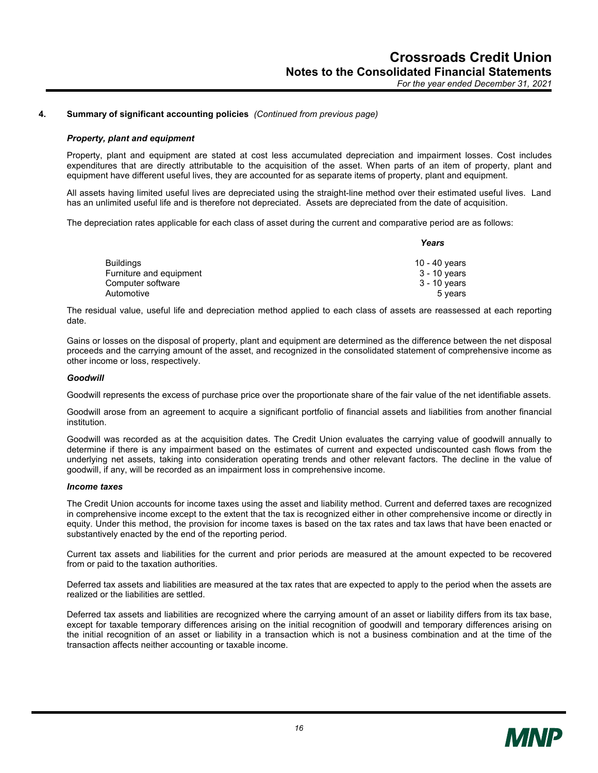#### *Property, plant and equipment*

Property, plant and equipment are stated at cost less accumulated depreciation and impairment losses. Cost includes expenditures that are directly attributable to the acquisition of the asset. When parts of an item of property, plant and equipment have different useful lives, they are accounted for as separate items of property, plant and equipment.

All assets having limited useful lives are depreciated using the straight-line method over their estimated useful lives. Land has an unlimited useful life and is therefore not depreciated. Assets are depreciated from the date of acquisition.

The depreciation rates applicable for each class of asset during the current and comparative period are as follows:

|                         | Years         |
|-------------------------|---------------|
| <b>Buildings</b>        | 10 - 40 years |
| Furniture and equipment | 3 - 10 years  |
| Computer software       | 3 - 10 years  |
| Automotive              | 5 years       |

The residual value, useful life and depreciation method applied to each class of assets are reassessed at each reporting date.

Gains or losses on the disposal of property, plant and equipment are determined as the difference between the net disposal proceeds and the carrying amount of the asset, and recognized in the consolidated statement of comprehensive income as other income or loss, respectively.

## *Goodwill*

Goodwill represents the excess of purchase price over the proportionate share of the fair value of the net identifiable assets.

Goodwill arose from an agreement to acquire a significant portfolio of financial assets and liabilities from another financial institution.

Goodwill was recorded as at the acquisition dates. The Credit Union evaluates the carrying value of goodwill annually to determine if there is any impairment based on the estimates of current and expected undiscounted cash flows from the underlying net assets, taking into consideration operating trends and other relevant factors. The decline in the value of goodwill, if any, will be recorded as an impairment loss in comprehensive income.

#### *Income taxes*

The Credit Union accounts for income taxes using the asset and liability method. Current and deferred taxes are recognized in comprehensive income except to the extent that the tax is recognized either in other comprehensive income or directly in equity. Under this method, the provision for income taxes is based on the tax rates and tax laws that have been enacted or substantively enacted by the end of the reporting period.

Current tax assets and liabilities for the current and prior periods are measured at the amount expected to be recovered from or paid to the taxation authorities.

Deferred tax assets and liabilities are measured at the tax rates that are expected to apply to the period when the assets are realized or the liabilities are settled.

Deferred tax assets and liabilities are recognized where the carrying amount of an asset or liability differs from its tax base, except for taxable temporary differences arising on the initial recognition of goodwill and temporary differences arising on the initial recognition of an asset or liability in a transaction which is not a business combination and at the time of the transaction affects neither accounting or taxable income.

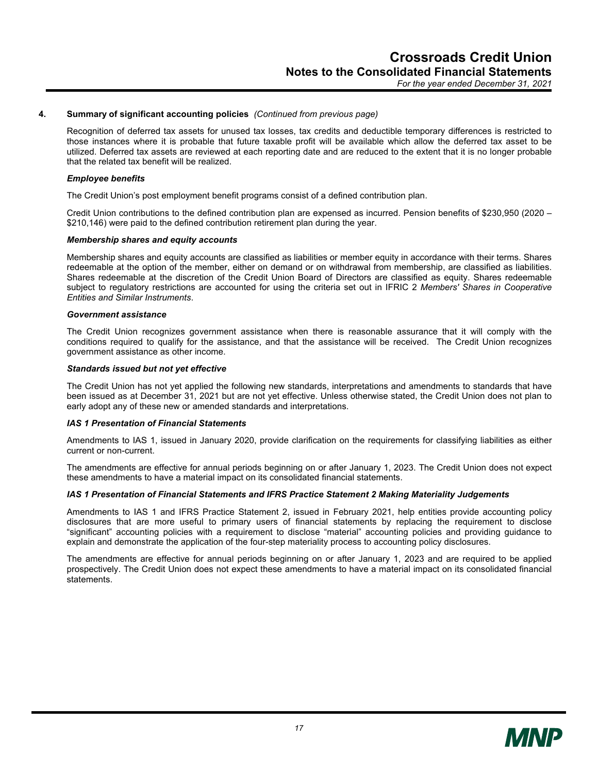Recognition of deferred tax assets for unused tax losses, tax credits and deductible temporary differences is restricted to those instances where it is probable that future taxable profit will be available which allow the deferred tax asset to be utilized. Deferred tax assets are reviewed at each reporting date and are reduced to the extent that it is no longer probable that the related tax benefit will be realized.

## *Employee benefits*

The Credit Union's post employment benefit programs consist of a defined contribution plan.

Credit Union contributions to the defined contribution plan are expensed as incurred. Pension benefits of \$230,950 (2020 – \$210,146) were paid to the defined contribution retirement plan during the year.

## *Membership shares and equity accounts*

Membership shares and equity accounts are classified as liabilities or member equity in accordance with their terms. Shares redeemable at the option of the member, either on demand or on withdrawal from membership, are classified as liabilities. Shares redeemable at the discretion of the Credit Union Board of Directors are classified as equity. Shares redeemable subject to regulatory restrictions are accounted for using the criteria set out in IFRIC 2 *Members' Shares in Cooperative Entities and Similar Instruments*.

## *Government assistance*

The Credit Union recognizes government assistance when there is reasonable assurance that it will comply with the conditions required to qualify for the assistance, and that the assistance will be received. The Credit Union recognizes government assistance as other income.

# *Standards issued but not yet effective*

The Credit Union has not yet applied the following new standards, interpretations and amendments to standards that have been issued as at December 31, 2021 but are not yet effective. Unless otherwise stated, the Credit Union does not plan to early adopt any of these new or amended standards and interpretations.

## *IAS 1 Presentation of Financial Statements*

Amendments to IAS 1, issued in January 2020, provide clarification on the requirements for classifying liabilities as either current or non-current.

The amendments are effective for annual periods beginning on or after January 1, 2023. The Credit Union does not expect these amendments to have a material impact on its consolidated financial statements.

# *IAS 1 Presentation of Financial Statements and IFRS Practice Statement 2 Making Materiality Judgements*

Amendments to IAS 1 and IFRS Practice Statement 2, issued in February 2021, help entities provide accounting policy disclosures that are more useful to primary users of financial statements by replacing the requirement to disclose "significant" accounting policies with a requirement to disclose "material" accounting policies and providing guidance to explain and demonstrate the application of the four-step materiality process to accounting policy disclosures.

The amendments are effective for annual periods beginning on or after January 1, 2023 and are required to be applied prospectively. The Credit Union does not expect these amendments to have a material impact on its consolidated financial statements.

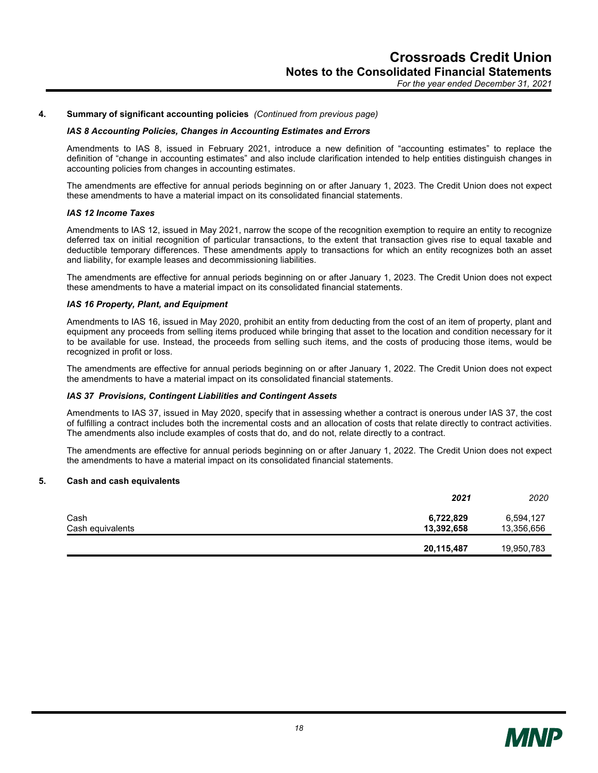## *IAS 8 Accounting Policies, Changes in Accounting Estimates and Errors*

Amendments to IAS 8, issued in February 2021, introduce a new definition of "accounting estimates" to replace the definition of "change in accounting estimates" and also include clarification intended to help entities distinguish changes in accounting policies from changes in accounting estimates.

The amendments are effective for annual periods beginning on or after January 1, 2023. The Credit Union does not expect these amendments to have a material impact on its consolidated financial statements.

## *IAS 12 Income Taxes*

Amendments to IAS 12, issued in May 2021, narrow the scope of the recognition exemption to require an entity to recognize deferred tax on initial recognition of particular transactions, to the extent that transaction gives rise to equal taxable and deductible temporary differences. These amendments apply to transactions for which an entity recognizes both an asset and liability, for example leases and decommissioning liabilities.

The amendments are effective for annual periods beginning on or after January 1, 2023. The Credit Union does not expect these amendments to have a material impact on its consolidated financial statements.

#### *IAS 16 Property, Plant, and Equipment*

Amendments to IAS 16, issued in May 2020, prohibit an entity from deducting from the cost of an item of property, plant and equipment any proceeds from selling items produced while bringing that asset to the location and condition necessary for it to be available for use. Instead, the proceeds from selling such items, and the costs of producing those items, would be recognized in profit or loss.

The amendments are effective for annual periods beginning on or after January 1, 2022. The Credit Union does not expect the amendments to have a material impact on its consolidated financial statements.

#### *IAS 37 Provisions, Contingent Liabilities and Contingent Assets*

Amendments to IAS 37, issued in May 2020, specify that in assessing whether a contract is onerous under IAS 37, the cost of fulfilling a contract includes both the incremental costs and an allocation of costs that relate directly to contract activities. The amendments also include examples of costs that do, and do not, relate directly to a contract.

The amendments are effective for annual periods beginning on or after January 1, 2022. The Credit Union does not expect the amendments to have a material impact on its consolidated financial statements.

#### **5. Cash and cash equivalents**

|                          | 2021                    | 2020                    |
|--------------------------|-------------------------|-------------------------|
| Cash<br>Cash equivalents | 6,722,829<br>13,392,658 | 6,594,127<br>13,356,656 |
|                          | 20,115,487              | 19,950,783              |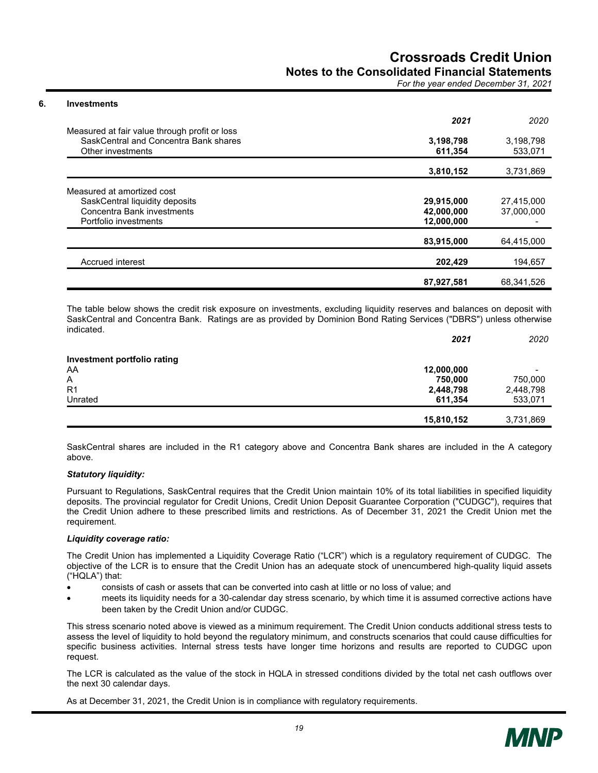## *For the year ended December 31, 2021*

#### **6. Investments**

|                                                                                                             | 2021                 | 2020                 |  |
|-------------------------------------------------------------------------------------------------------------|----------------------|----------------------|--|
| Measured at fair value through profit or loss<br>SaskCentral and Concentra Bank shares<br>Other investments | 3,198,798<br>611,354 | 3,198,798<br>533,071 |  |
|                                                                                                             | 3,810,152            | 3,731,869            |  |
| Measured at amortized cost                                                                                  |                      |                      |  |
| SaskCentral liquidity deposits                                                                              | 29,915,000           | 27,415,000           |  |
| Concentra Bank investments                                                                                  | 42,000,000           | 37,000,000           |  |
| Portfolio investments                                                                                       | 12,000,000           |                      |  |
|                                                                                                             | 83,915,000           | 64,415,000           |  |
| Accrued interest                                                                                            | 202,429              | 194,657              |  |
|                                                                                                             | 87,927,581           | 68,341,526           |  |

The table below shows the credit risk exposure on investments, excluding liquidity reserves and balances on deposit with SaskCentral and Concentra Bank. Ratings are as provided by Dominion Bond Rating Services ("DBRS") unless otherwise indicated.

|                             | 15,810,152 | 3,731,869                |
|-----------------------------|------------|--------------------------|
| Unrated                     | 611,354    | 533,071                  |
| R <sub>1</sub>              | 2,448,798  | 2,448,798                |
| A                           | 750,000    | 750,000                  |
| AA                          | 12,000,000 | $\overline{\phantom{0}}$ |
| Investment portfolio rating |            |                          |
|                             |            |                          |
|                             | 2021       | 2020                     |

SaskCentral shares are included in the R1 category above and Concentra Bank shares are included in the A category above.

#### *Statutory liquidity:*

Pursuant to Regulations, SaskCentral requires that the Credit Union maintain 10% of its total liabilities in specified liquidity deposits. The provincial regulator for Credit Unions, Credit Union Deposit Guarantee Corporation ("CUDGC"), requires that the Credit Union adhere to these prescribed limits and restrictions. As of December 31, 2021 the Credit Union met the requirement.

## *Liquidity coverage ratio:*

The Credit Union has implemented a Liquidity Coverage Ratio ("LCR") which is a regulatory requirement of CUDGC. The objective of the LCR is to ensure that the Credit Union has an adequate stock of unencumbered high-quality liquid assets ("HQLA") that:

- consists of cash or assets that can be converted into cash at little or no loss of value; and
- meets its liquidity needs for a 30-calendar day stress scenario, by which time it is assumed corrective actions have been taken by the Credit Union and/or CUDGC.

This stress scenario noted above is viewed as a minimum requirement. The Credit Union conducts additional stress tests to assess the level of liquidity to hold beyond the regulatory minimum, and constructs scenarios that could cause difficulties for specific business activities. Internal stress tests have longer time horizons and results are reported to CUDGC upon request.

The LCR is calculated as the value of the stock in HQLA in stressed conditions divided by the total net cash outflows over the next 30 calendar days.

As at December 31, 2021, the Credit Union is in compliance with regulatory requirements.

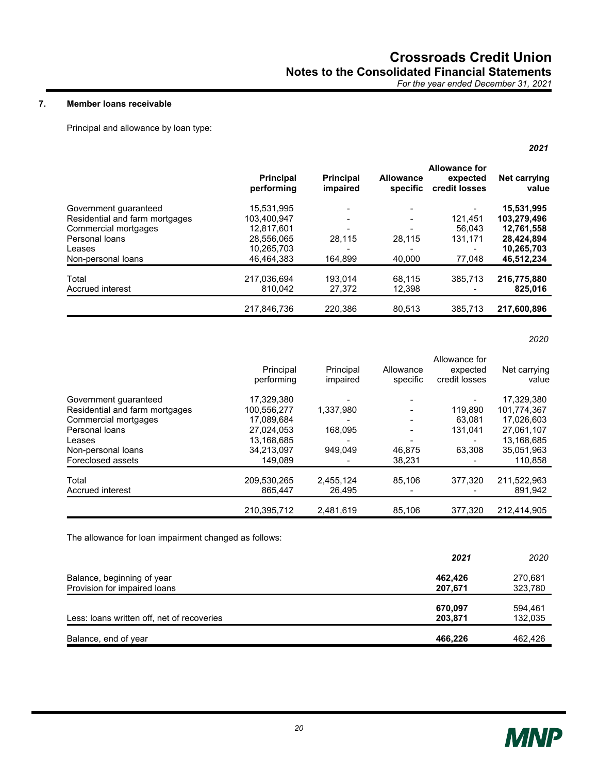# **7. Member loans receivable**

Principal and allowance by loan type:

|                                | <b>Principal</b><br>performing | <b>Principal</b><br>impaired | <b>Allowance</b><br>specific | <b>Allowance for</b><br>expected<br>credit losses | Net carrying<br>value |
|--------------------------------|--------------------------------|------------------------------|------------------------------|---------------------------------------------------|-----------------------|
| Government guaranteed          | 15.531.995                     |                              |                              |                                                   | 15,531,995            |
| Residential and farm mortgages | 103,400,947                    | $\overline{\phantom{0}}$     | $\overline{\phantom{a}}$     | 121.451                                           | 103,279,496           |
| Commercial mortgages           | 12.817.601                     |                              |                              | 56.043                                            | 12,761,558            |
| Personal loans                 | 28.556.065                     | 28.115                       | 28,115                       | 131,171                                           | 28,424,894            |
| Leases                         | 10.265.703                     |                              |                              |                                                   | 10,265,703            |
| Non-personal loans             | 46,464,383                     | 164,899                      | 40,000                       | 77,048                                            | 46,512,234            |
| Total                          | 217.036.694                    | 193.014                      | 68,115                       | 385,713                                           | 216,775,880           |
| Accrued interest               | 810,042                        | 27,372                       | 12,398                       |                                                   | 825,016               |
|                                | 217,846,736                    | 220,386                      | 80,513                       | 385.713                                           | 217,600,896           |

*2020*

*2021*

|                                | Principal<br>performing | Principal<br>impaired | Allowance<br>specific    | Allowance for<br>expected<br>credit losses | Net carrying<br>value |
|--------------------------------|-------------------------|-----------------------|--------------------------|--------------------------------------------|-----------------------|
| Government guaranteed          | 17,329,380              |                       | $\overline{\phantom{a}}$ |                                            | 17,329,380            |
| Residential and farm mortgages | 100,556,277             | 1.337.980             |                          | 119.890                                    | 101.774.367           |
| Commercial mortgages           | 17,089,684              |                       |                          | 63.081                                     | 17,026,603            |
| Personal loans                 | 27,024,053              | 168,095               | $\overline{\phantom{a}}$ | 131,041                                    | 27,061,107            |
| Leases                         | 13.168.685              |                       |                          |                                            | 13.168.685            |
| Non-personal loans             | 34,213,097              | 949.049               | 46,875                   | 63.308                                     | 35,051,963            |
| Foreclosed assets              | 149,089                 |                       | 38,231                   |                                            | 110,858               |
| Total                          | 209,530,265             | 2,455,124             | 85,106                   | 377,320                                    | 211,522,963           |
| Accrued interest               | 865,447                 | 26,495                |                          |                                            | 891,942               |
|                                | 210,395,712             | 2,481,619             | 85,106                   | 377.320                                    | 212,414,905           |

The allowance for loan impairment changed as follows:

|                                            | 2021    | 2020    |
|--------------------------------------------|---------|---------|
| Balance, beginning of year                 | 462.426 | 270,681 |
| Provision for impaired loans               | 207,671 | 323,780 |
|                                            |         |         |
|                                            | 670.097 | 594,461 |
| Less: loans written off, net of recoveries | 203,871 | 132,035 |
|                                            |         |         |
| Balance, end of year                       | 466,226 | 462.426 |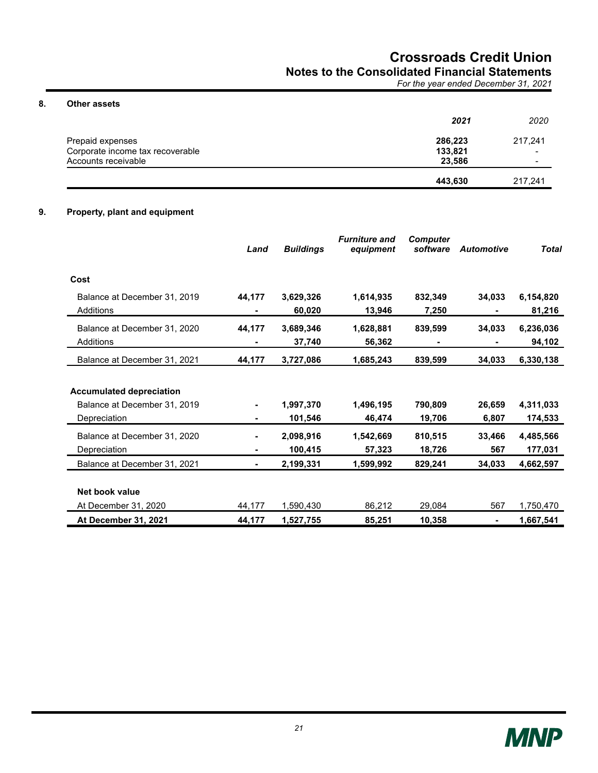*For the year ended December 31, 2021*

# **8. Other assets**

|                                  | 2021    | 2020                     |
|----------------------------------|---------|--------------------------|
| Prepaid expenses                 | 286.223 | 217.241                  |
| Corporate income tax recoverable | 133.821 | $\,$                     |
| Accounts receivable              | 23.586  | $\overline{\phantom{0}}$ |
|                                  | 443,630 | 217.241                  |

# **9. Property, plant and equipment**

|                                 | Land   | <b>Buildings</b> | <b>Furniture and</b><br>equipment | <b>Computer</b><br>software | <b>Automotive</b> | <b>Total</b> |
|---------------------------------|--------|------------------|-----------------------------------|-----------------------------|-------------------|--------------|
| Cost                            |        |                  |                                   |                             |                   |              |
| Balance at December 31, 2019    | 44,177 | 3,629,326        | 1,614,935                         | 832,349                     | 34,033            | 6,154,820    |
| Additions                       |        | 60,020           | 13,946                            | 7,250                       |                   | 81,216       |
| Balance at December 31, 2020    | 44,177 | 3,689,346        | 1,628,881                         | 839,599                     | 34,033            | 6,236,036    |
| Additions                       |        | 37,740           | 56,362                            | ۰                           |                   | 94,102       |
| Balance at December 31, 2021    | 44,177 | 3,727,086        | 1,685,243                         | 839.599                     | 34.033            | 6,330,138    |
|                                 |        |                  |                                   |                             |                   |              |
| <b>Accumulated depreciation</b> |        |                  |                                   |                             |                   |              |
| Balance at December 31, 2019    |        | 1,997,370        | 1,496,195                         | 790,809                     | 26,659            | 4,311,033    |
| Depreciation                    |        | 101,546          | 46,474                            | 19,706                      | 6,807             | 174,533      |
| Balance at December 31, 2020    |        | 2,098,916        | 1,542,669                         | 810,515                     | 33,466            | 4,485,566    |
| Depreciation                    |        | 100,415          | 57,323                            | 18,726                      | 567               | 177,031      |
| Balance at December 31, 2021    | ۰      | 2,199,331        | 1,599,992                         | 829,241                     | 34,033            | 4,662,597    |
|                                 |        |                  |                                   |                             |                   |              |
| Net book value                  |        |                  |                                   |                             |                   |              |
| At December 31, 2020            | 44.177 | 1,590,430        | 86,212                            | 29,084                      | 567               | 1,750,470    |
| At December 31, 2021            | 44,177 | 1,527,755        | 85,251                            | 10,358                      | $\blacksquare$    | 1,667,541    |

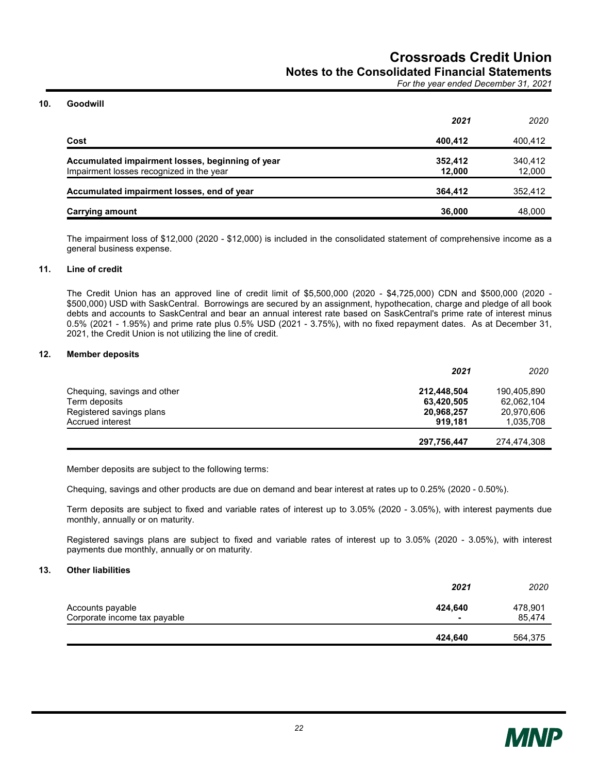# **Crossroads Credit Union Notes to the Consolidated Financial Statements**

#### **10. Goodwill**

*For the year ended December 31, 2021*

|                                                                                              | 2021              | 2020              |
|----------------------------------------------------------------------------------------------|-------------------|-------------------|
| Cost                                                                                         | 400,412           | 400,412           |
| Accumulated impairment losses, beginning of year<br>Impairment losses recognized in the year | 352,412<br>12,000 | 340.412<br>12,000 |
| Accumulated impairment losses, end of year                                                   | 364,412           | 352,412           |
| <b>Carrying amount</b>                                                                       | 36,000            | 48,000            |

The impairment loss of \$12,000 (2020 - \$12,000) is included in the consolidated statement of comprehensive income as a general business expense.

# **11. Line of credit**

The Credit Union has an approved line of credit limit of \$5,500,000 (2020 - \$4,725,000) CDN and \$500,000 (2020 - \$500,000) USD with SaskCentral. Borrowings are secured by an assignment, hypothecation, charge and pledge of all book debts and accounts to SaskCentral and bear an annual interest rate based on SaskCentral's prime rate of interest minus 0.5% (2021 - 1.95%) and prime rate plus 0.5% USD (2021 - 3.75%), with no fixed repayment dates. As at December 31, 2021, the Credit Union is not utilizing the line of credit.

## **12. Member deposits**

|                             | 2021        | 2020        |
|-----------------------------|-------------|-------------|
| Chequing, savings and other | 212,448,504 | 190,405,890 |
| Term deposits               | 63,420,505  | 62,062,104  |
| Registered savings plans    | 20,968,257  | 20,970,606  |
| Accrued interest            | 919.181     | 1,035,708   |
|                             | 297,756,447 | 274,474,308 |

Member deposits are subject to the following terms:

Chequing, savings and other products are due on demand and bear interest at rates up to 0.25% (2020 - 0.50%).

Term deposits are subject to fixed and variable rates of interest up to 3.05% (2020 - 3.05%), with interest payments due monthly, annually or on maturity.

Registered savings plans are subject to fixed and variable rates of interest up to 3.05% (2020 - 3.05%), with interest payments due monthly, annually or on maturity.

# **13. Other liabilities**

|                              | 2021                     | 2020    |
|------------------------------|--------------------------|---------|
| Accounts payable             | 424.640                  | 478,901 |
| Corporate income tax payable | $\overline{\phantom{0}}$ | 85,474  |
|                              | 424.640                  | 564,375 |

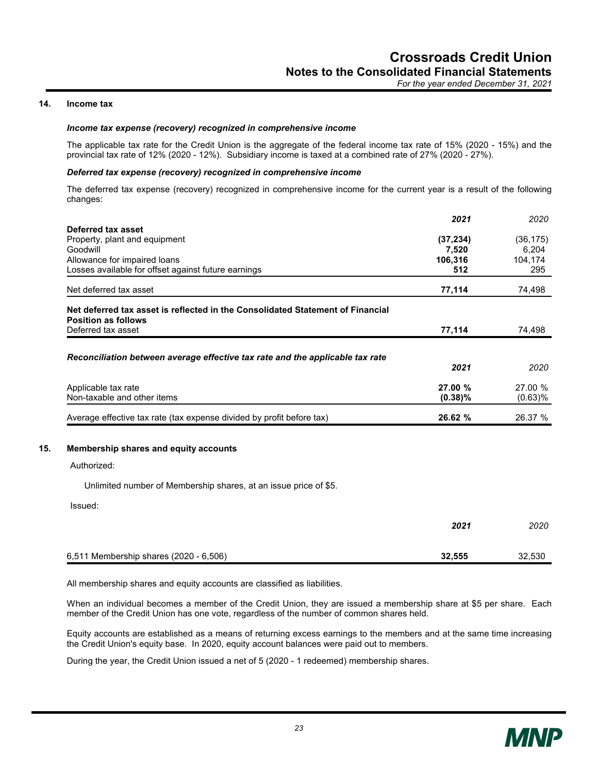## **14. Income tax**

# *Income tax expense (recovery) recognized in comprehensive income*

The applicable tax rate for the Credit Union is the aggregate of the federal income tax rate of 15% (2020 - 15%) and the provincial tax rate of 12% (2020 - 12%). Subsidiary income is taxed at a combined rate of 27% (2020 - 27%).

#### *Deferred tax expense (recovery) recognized in comprehensive income*

The deferred tax expense (recovery) recognized in comprehensive income for the current year is a result of the following changes:

|                                                                                                     | 2021       | 2020                      |
|-----------------------------------------------------------------------------------------------------|------------|---------------------------|
| Deferred tax asset                                                                                  |            |                           |
| Property, plant and equipment                                                                       | (37, 234)  | (36, 175)                 |
| Goodwill                                                                                            | 7,520      | 6,204                     |
| Allowance for impaired loans                                                                        | 106,316    | 104,174                   |
| Losses available for offset against future earnings                                                 | 512        | 295                       |
| Net deferred tax asset                                                                              | 77,114     | 74,498                    |
| Net deferred tax asset is reflected in the Consolidated Statement of Financial                      |            |                           |
| <b>Position as follows</b>                                                                          |            |                           |
| Deferred tax asset<br>Reconciliation between average effective tax rate and the applicable tax rate | 77,114     |                           |
|                                                                                                     | 2021       |                           |
| Applicable tax rate                                                                                 | 27.00%     | 74,498<br>2020<br>27.00 % |
| Non-taxable and other items                                                                         | $(0.38)\%$ | (0.63)%                   |

Issued:

|                                        | 2021   | 2020   |
|----------------------------------------|--------|--------|
| 6,511 Membership shares (2020 - 6,506) | 32.555 | 32,530 |

All membership shares and equity accounts are classified as liabilities.

When an individual becomes a member of the Credit Union, they are issued a membership share at \$5 per share. Each member of the Credit Union has one vote, regardless of the number of common shares held.

Equity accounts are established as a means of returning excess earnings to the members and at the same time increasing the Credit Union's equity base. In 2020, equity account balances were paid out to members.

During the year, the Credit Union issued a net of 5 (2020 - 1 redeemed) membership shares.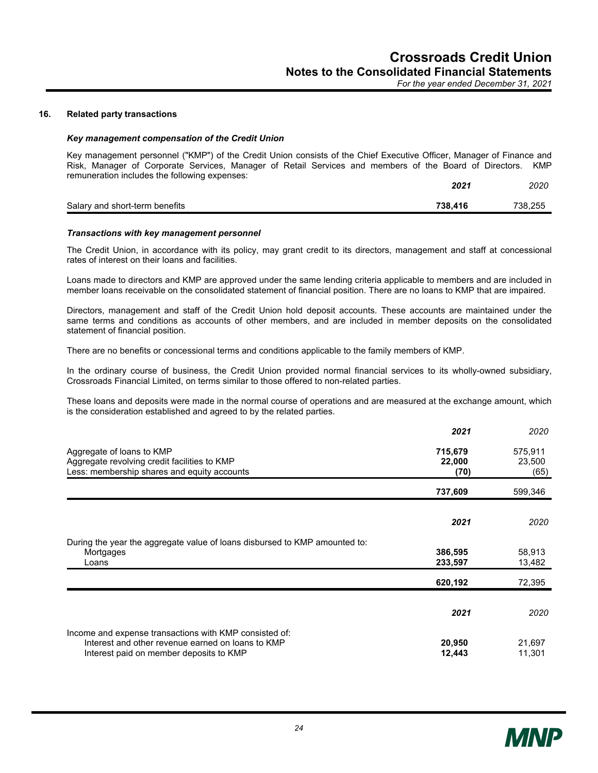#### **16. Related party transactions**

# *Key management compensation of the Credit Union*

Key management personnel ("KMP") of the Credit Union consists of the Chief Executive Officer, Manager of Finance and Risk, Manager of Corporate Services, Manager of Retail Services and members of the Board of Directors. KMP remuneration includes the following expenses:

|                                | 2021    | 2020    |
|--------------------------------|---------|---------|
| Salary and short-term benefits | 738,416 | 738,255 |

#### *Transactions with key management personnel*

The Credit Union, in accordance with its policy, may grant credit to its directors, management and staff at concessional rates of interest on their loans and facilities.

Loans made to directors and KMP are approved under the same lending criteria applicable to members and are included in member loans receivable on the consolidated statement of financial position. There are no loans to KMP that are impaired.

Directors, management and staff of the Credit Union hold deposit accounts. These accounts are maintained under the same terms and conditions as accounts of other members, and are included in member deposits on the consolidated statement of financial position.

There are no benefits or concessional terms and conditions applicable to the family members of KMP.

In the ordinary course of business, the Credit Union provided normal financial services to its wholly-owned subsidiary, Crossroads Financial Limited, on terms similar to those offered to non-related parties.

These loans and deposits were made in the normal course of operations and are measured at the exchange amount, which is the consideration established and agreed to by the related parties.

|                                                                                                                                                        | 2021                      | 2020                      |
|--------------------------------------------------------------------------------------------------------------------------------------------------------|---------------------------|---------------------------|
| Aggregate of loans to KMP<br>Aggregate revolving credit facilities to KMP<br>Less: membership shares and equity accounts                               | 715,679<br>22,000<br>(70) | 575,911<br>23,500<br>(65) |
|                                                                                                                                                        | 737,609                   | 599,346                   |
|                                                                                                                                                        | 2021                      | 2020                      |
| During the year the aggregate value of loans disbursed to KMP amounted to:<br>Mortgages<br>Loans                                                       | 386,595<br>233,597        | 58,913<br>13,482          |
|                                                                                                                                                        | 620,192                   | 72,395                    |
|                                                                                                                                                        | 2021                      | 2020                      |
| Income and expense transactions with KMP consisted of:<br>Interest and other revenue earned on loans to KMP<br>Interest paid on member deposits to KMP | 20,950<br>12,443          | 21,697<br>11,301          |

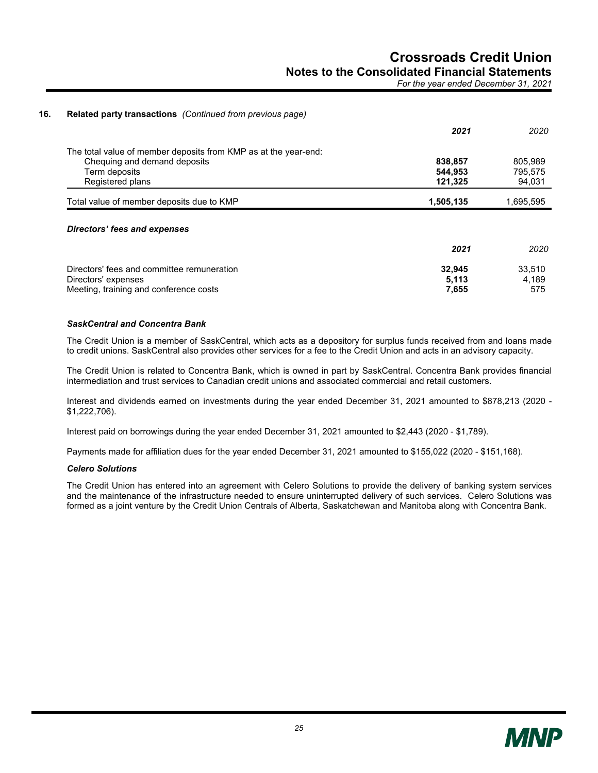*For the year ended December 31, 2021*

## **16. Related party transactions** *(Continued from previous page)*

|                                                                 | 2021      | 2020      |
|-----------------------------------------------------------------|-----------|-----------|
| The total value of member deposits from KMP as at the year-end: |           |           |
| Chequing and demand deposits                                    | 838,857   | 805,989   |
| Term deposits                                                   | 544.953   | 795.575   |
| Registered plans                                                | 121.325   | 94,031    |
| Total value of member deposits due to KMP                       | 1,505,135 | 1,695,595 |
| <b>Directors' fees and expenses</b>                             |           |           |
|                                                                 |           |           |

|                                            | 2021   | 2020   |
|--------------------------------------------|--------|--------|
| Directors' fees and committee remuneration | 32.945 | 33.510 |
| Directors' expenses                        | 5.113  | 4.189  |
| Meeting, training and conference costs     | 7.655  | 575    |

## *SaskCentral and Concentra Bank*

The Credit Union is a member of SaskCentral, which acts as a depository for surplus funds received from and loans made to credit unions. SaskCentral also provides other services for a fee to the Credit Union and acts in an advisory capacity.

The Credit Union is related to Concentra Bank, which is owned in part by SaskCentral. Concentra Bank provides financial intermediation and trust services to Canadian credit unions and associated commercial and retail customers.

Interest and dividends earned on investments during the year ended December 31, 2021 amounted to \$878,213 (2020 - \$1,222,706).

Interest paid on borrowings during the year ended December 31, 2021 amounted to \$2,443 (2020 - \$1,789).

Payments made for affiliation dues for the year ended December 31, 2021 amounted to \$155,022 (2020 - \$151,168).

## *Celero Solutions*

The Credit Union has entered into an agreement with Celero Solutions to provide the delivery of banking system services and the maintenance of the infrastructure needed to ensure uninterrupted delivery of such services. Celero Solutions was formed as a joint venture by the Credit Union Centrals of Alberta, Saskatchewan and Manitoba along with Concentra Bank.

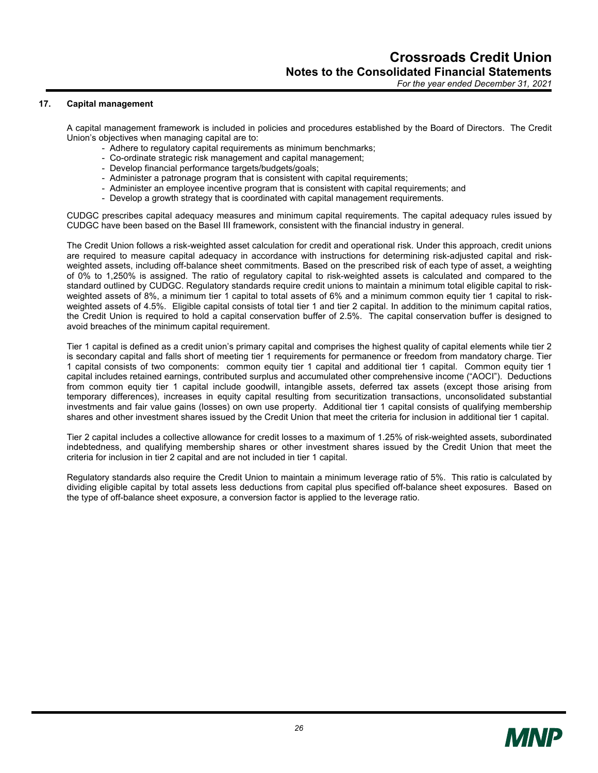#### **17. Capital management**

A capital management framework is included in policies and procedures established by the Board of Directors. The Credit Union's objectives when managing capital are to:

- Adhere to regulatory capital requirements as minimum benchmarks;
- Co-ordinate strategic risk management and capital management;
- Develop financial performance targets/budgets/goals;
- Administer a patronage program that is consistent with capital requirements;
- Administer an employee incentive program that is consistent with capital requirements; and
- Develop a growth strategy that is coordinated with capital management requirements.

CUDGC prescribes capital adequacy measures and minimum capital requirements. The capital adequacy rules issued by CUDGC have been based on the Basel III framework, consistent with the financial industry in general.

The Credit Union follows a risk-weighted asset calculation for credit and operational risk. Under this approach, credit unions are required to measure capital adequacy in accordance with instructions for determining risk-adjusted capital and riskweighted assets, including off-balance sheet commitments. Based on the prescribed risk of each type of asset, a weighting of 0% to 1,250% is assigned. The ratio of regulatory capital to risk-weighted assets is calculated and compared to the standard outlined by CUDGC. Regulatory standards require credit unions to maintain a minimum total eligible capital to riskweighted assets of 8%, a minimum tier 1 capital to total assets of 6% and a minimum common equity tier 1 capital to riskweighted assets of 4.5%. Eligible capital consists of total tier 1 and tier 2 capital. In addition to the minimum capital ratios, the Credit Union is required to hold a capital conservation buffer of 2.5%. The capital conservation buffer is designed to avoid breaches of the minimum capital requirement.

Tier 1 capital is defined as a credit union's primary capital and comprises the highest quality of capital elements while tier 2 is secondary capital and falls short of meeting tier 1 requirements for permanence or freedom from mandatory charge. Tier 1 capital consists of two components: common equity tier 1 capital and additional tier 1 capital. Common equity tier 1 capital includes retained earnings, contributed surplus and accumulated other comprehensive income ("AOCI"). Deductions from common equity tier 1 capital include goodwill, intangible assets, deferred tax assets (except those arising from temporary differences), increases in equity capital resulting from securitization transactions, unconsolidated substantial investments and fair value gains (losses) on own use property. Additional tier 1 capital consists of qualifying membership shares and other investment shares issued by the Credit Union that meet the criteria for inclusion in additional tier 1 capital.

Tier 2 capital includes a collective allowance for credit losses to a maximum of 1.25% of risk-weighted assets, subordinated indebtedness, and qualifying membership shares or other investment shares issued by the Credit Union that meet the criteria for inclusion in tier 2 capital and are not included in tier 1 capital.

Regulatory standards also require the Credit Union to maintain a minimum leverage ratio of 5%. This ratio is calculated by dividing eligible capital by total assets less deductions from capital plus specified off-balance sheet exposures. Based on the type of off-balance sheet exposure, a conversion factor is applied to the leverage ratio.

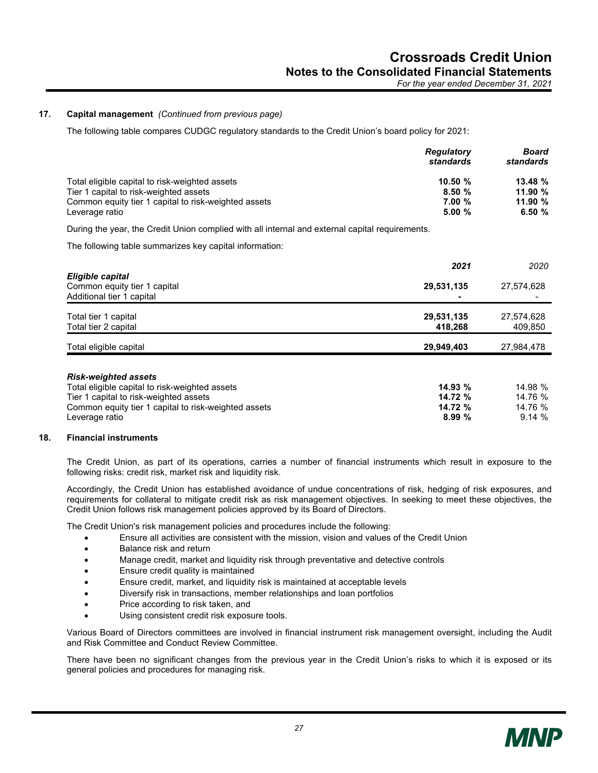## **17. Capital management** *(Continued from previous page)*

The following table compares CUDGC regulatory standards to the Credit Union's board policy for 2021:

|                                                      | <b>Regulatory</b><br>standards | Board<br>standards |
|------------------------------------------------------|--------------------------------|--------------------|
| Total eligible capital to risk-weighted assets       | 10.50%                         | 13.48 %            |
| Tier 1 capital to risk-weighted assets               | 8.50%                          | 11.90 %            |
| Common equity tier 1 capital to risk-weighted assets | 7.00%                          | 11.90 %            |
| Leverage ratio                                       | 5.00%                          | 6.50%              |

During the year, the Credit Union complied with all internal and external capital requirements.

The following table summarizes key capital information:

|                                                                               | 2021                                   | 2020                          |
|-------------------------------------------------------------------------------|----------------------------------------|-------------------------------|
| Eligible capital<br>Common equity tier 1 capital<br>Additional tier 1 capital | 29,531,135<br>$\overline{\phantom{0}}$ | 27,574,628<br>$\qquad \qquad$ |
| Total tier 1 capital<br>Total tier 2 capital                                  | 29,531,135<br>418.268                  | 27,574,628<br>409,850         |
| Total eligible capital                                                        | 29,949,403                             | 27,984,478                    |
|                                                                               |                                        |                               |

## *Risk-weighted assets*

| $1.1011$ , $1.01411$ , $0.0000$ , $0.000$            |           |         |
|------------------------------------------------------|-----------|---------|
| Total eligible capital to risk-weighted assets       | 14.93%    | 14.98 % |
| Tier 1 capital to risk-weighted assets               | 14.72 %   | 14.76 % |
| Common equity tier 1 capital to risk-weighted assets | 14.72 $%$ | 14.76 % |
| Leverage ratio                                       | $8.99\%$  | 9.14%   |
|                                                      |           |         |

## **18. Financial instruments**

The Credit Union, as part of its operations, carries a number of financial instruments which result in exposure to the following risks: credit risk, market risk and liquidity risk.

Accordingly, the Credit Union has established avoidance of undue concentrations of risk, hedging of risk exposures, and requirements for collateral to mitigate credit risk as risk management objectives. In seeking to meet these objectives, the Credit Union follows risk management policies approved by its Board of Directors.

The Credit Union's risk management policies and procedures include the following:

- Ensure all activities are consistent with the mission, vision and values of the Credit Union
- Balance risk and return
- Manage credit, market and liquidity risk through preventative and detective controls
- Ensure credit quality is maintained
- Ensure credit, market, and liquidity risk is maintained at acceptable levels
- Diversify risk in transactions, member relationships and loan portfolios
- Price according to risk taken, and
- Using consistent credit risk exposure tools.

Various Board of Directors committees are involved in financial instrument risk management oversight, including the Audit and Risk Committee and Conduct Review Committee.

There have been no significant changes from the previous year in the Credit Union's risks to which it is exposed or its general policies and procedures for managing risk.

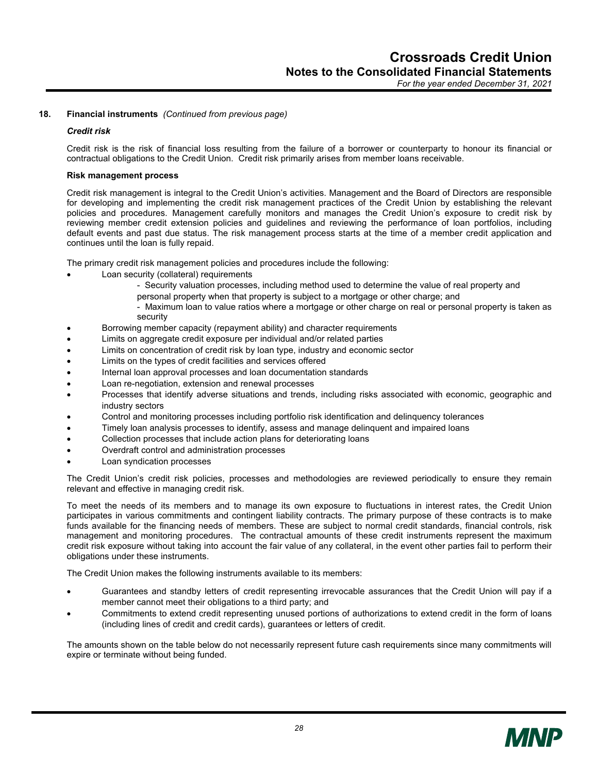# *Credit risk*

Credit risk is the risk of financial loss resulting from the failure of a borrower or counterparty to honour its financial or contractual obligations to the Credit Union. Credit risk primarily arises from member loans receivable.

## **Risk management process**

Credit risk management is integral to the Credit Union's activities. Management and the Board of Directors are responsible for developing and implementing the credit risk management practices of the Credit Union by establishing the relevant policies and procedures. Management carefully monitors and manages the Credit Union's exposure to credit risk by reviewing member credit extension policies and guidelines and reviewing the performance of loan portfolios, including default events and past due status. The risk management process starts at the time of a member credit application and continues until the loan is fully repaid.

The primary credit risk management policies and procedures include the following:

- Loan security (collateral) requirements
	- Security valuation processes, including method used to determine the value of real property and personal property when that property is subject to a mortgage or other charge; and
		- Maximum loan to value ratios where a mortgage or other charge on real or personal property is taken as security
- Borrowing member capacity (repayment ability) and character requirements
- Limits on aggregate credit exposure per individual and/or related parties
- Limits on concentration of credit risk by loan type, industry and economic sector
- Limits on the types of credit facilities and services offered
- Internal loan approval processes and loan documentation standards
- Loan re-negotiation, extension and renewal processes
- Processes that identify adverse situations and trends, including risks associated with economic, geographic and industry sectors
- Control and monitoring processes including portfolio risk identification and delinquency tolerances
- Timely loan analysis processes to identify, assess and manage delinquent and impaired loans
- Collection processes that include action plans for deteriorating loans
- Overdraft control and administration processes
- Loan syndication processes

The Credit Union's credit risk policies, processes and methodologies are reviewed periodically to ensure they remain relevant and effective in managing credit risk.

To meet the needs of its members and to manage its own exposure to fluctuations in interest rates, the Credit Union participates in various commitments and contingent liability contracts. The primary purpose of these contracts is to make funds available for the financing needs of members. These are subject to normal credit standards, financial controls, risk management and monitoring procedures. The contractual amounts of these credit instruments represent the maximum credit risk exposure without taking into account the fair value of any collateral, in the event other parties fail to perform their obligations under these instruments.

The Credit Union makes the following instruments available to its members:

- Guarantees and standby letters of credit representing irrevocable assurances that the Credit Union will pay if a member cannot meet their obligations to a third party; and
- Commitments to extend credit representing unused portions of authorizations to extend credit in the form of loans (including lines of credit and credit cards), guarantees or letters of credit.

The amounts shown on the table below do not necessarily represent future cash requirements since many commitments will expire or terminate without being funded.

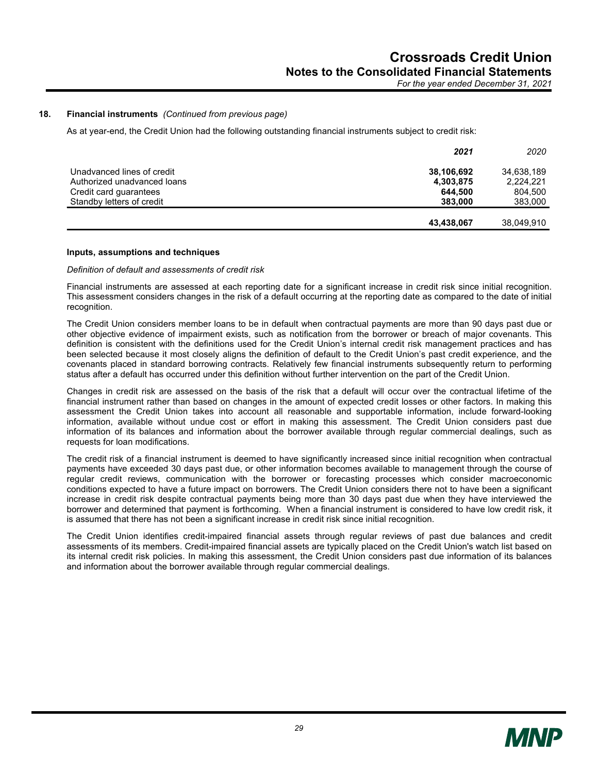As at year-end, the Credit Union had the following outstanding financial instruments subject to credit risk:

|                             | 2021       | 2020       |
|-----------------------------|------------|------------|
| Unadvanced lines of credit  | 38,106,692 | 34,638,189 |
| Authorized unadvanced loans | 4,303,875  | 2,224,221  |
| Credit card guarantees      | 644.500    | 804,500    |
| Standby letters of credit   | 383,000    | 383,000    |
|                             |            |            |
|                             | 43,438,067 | 38,049,910 |

## **Inputs, assumptions and techniques**

## *Definition of default and assessments of credit risk*

Financial instruments are assessed at each reporting date for a significant increase in credit risk since initial recognition. This assessment considers changes in the risk of a default occurring at the reporting date as compared to the date of initial recognition.

The Credit Union considers member loans to be in default when contractual payments are more than 90 days past due or other objective evidence of impairment exists, such as notification from the borrower or breach of major covenants. This definition is consistent with the definitions used for the Credit Union's internal credit risk management practices and has been selected because it most closely aligns the definition of default to the Credit Union's past credit experience, and the covenants placed in standard borrowing contracts. Relatively few financial instruments subsequently return to performing status after a default has occurred under this definition without further intervention on the part of the Credit Union.

Changes in credit risk are assessed on the basis of the risk that a default will occur over the contractual lifetime of the financial instrument rather than based on changes in the amount of expected credit losses or other factors. In making this assessment the Credit Union takes into account all reasonable and supportable information, include forward-looking information, available without undue cost or effort in making this assessment. The Credit Union considers past due information of its balances and information about the borrower available through regular commercial dealings, such as requests for loan modifications.

The credit risk of a financial instrument is deemed to have significantly increased since initial recognition when contractual payments have exceeded 30 days past due, or other information becomes available to management through the course of regular credit reviews, communication with the borrower or forecasting processes which consider macroeconomic conditions expected to have a future impact on borrowers. The Credit Union considers there not to have been a significant increase in credit risk despite contractual payments being more than 30 days past due when they have interviewed the borrower and determined that payment is forthcoming. When a financial instrument is considered to have low credit risk, it is assumed that there has not been a significant increase in credit risk since initial recognition.

The Credit Union identifies credit-impaired financial assets through regular reviews of past due balances and credit assessments of its members. Credit-impaired financial assets are typically placed on the Credit Union's watch list based on its internal credit risk policies. In making this assessment, the Credit Union considers past due information of its balances and information about the borrower available through regular commercial dealings.

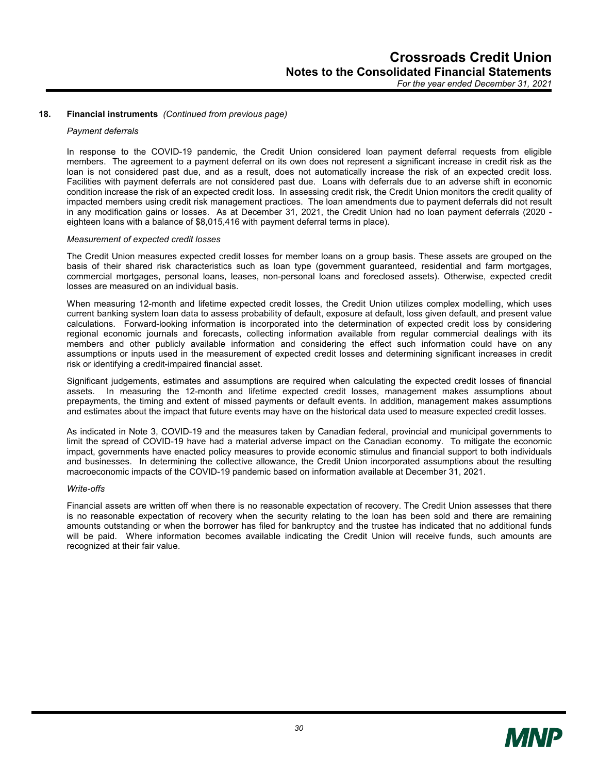#### *Payment deferrals*

In response to the COVID-19 pandemic, the Credit Union considered loan payment deferral requests from eligible members. The agreement to a payment deferral on its own does not represent a significant increase in credit risk as the loan is not considered past due, and as a result, does not automatically increase the risk of an expected credit loss. Facilities with payment deferrals are not considered past due. Loans with deferrals due to an adverse shift in economic condition increase the risk of an expected credit loss. In assessing credit risk, the Credit Union monitors the credit quality of impacted members using credit risk management practices. The loan amendments due to payment deferrals did not result in any modification gains or losses. As at December 31, 2021, the Credit Union had no loan payment deferrals (2020 eighteen loans with a balance of \$8,015,416 with payment deferral terms in place).

#### *Measurement of expected credit losses*

The Credit Union measures expected credit losses for member loans on a group basis. These assets are grouped on the basis of their shared risk characteristics such as loan type (government guaranteed, residential and farm mortgages, commercial mortgages, personal loans, leases, non-personal loans and foreclosed assets). Otherwise, expected credit losses are measured on an individual basis.

When measuring 12-month and lifetime expected credit losses, the Credit Union utilizes complex modelling, which uses current banking system loan data to assess probability of default, exposure at default, loss given default, and present value calculations. Forward-looking information is incorporated into the determination of expected credit loss by considering regional economic journals and forecasts, collecting information available from regular commercial dealings with its members and other publicly available information and considering the effect such information could have on any assumptions or inputs used in the measurement of expected credit losses and determining significant increases in credit risk or identifying a credit-impaired financial asset.

Significant judgements, estimates and assumptions are required when calculating the expected credit losses of financial assets. In measuring the 12-month and lifetime expected credit losses, management makes assumptions about prepayments, the timing and extent of missed payments or default events. In addition, management makes assumptions and estimates about the impact that future events may have on the historical data used to measure expected credit losses.

As indicated in Note 3, COVID-19 and the measures taken by Canadian federal, provincial and municipal governments to limit the spread of COVID-19 have had a material adverse impact on the Canadian economy. To mitigate the economic impact, governments have enacted policy measures to provide economic stimulus and financial support to both individuals and businesses. In determining the collective allowance, the Credit Union incorporated assumptions about the resulting macroeconomic impacts of the COVID-19 pandemic based on information available at December 31, 2021.

#### *Write-offs*

Financial assets are written off when there is no reasonable expectation of recovery. The Credit Union assesses that there is no reasonable expectation of recovery when the security relating to the loan has been sold and there are remaining amounts outstanding or when the borrower has filed for bankruptcy and the trustee has indicated that no additional funds will be paid. Where information becomes available indicating the Credit Union will receive funds, such amounts are recognized at their fair value.

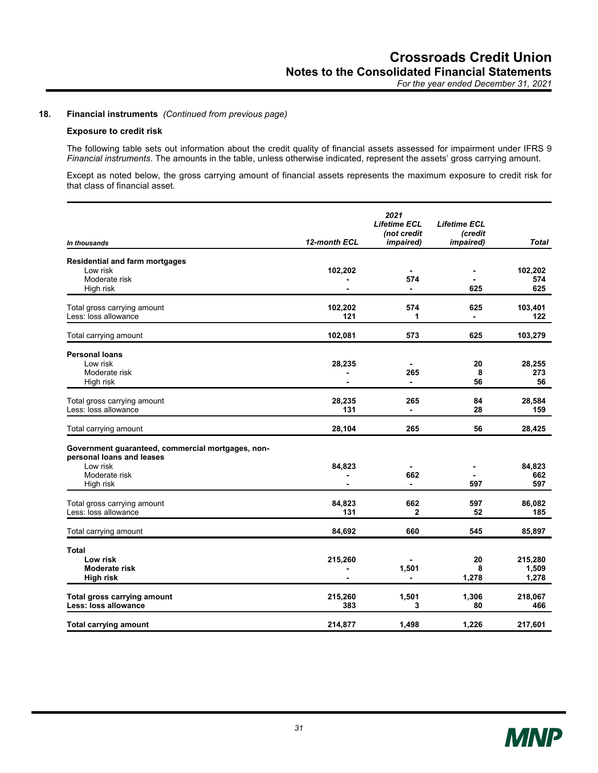#### **Exposure to credit risk**

The following table sets out information about the credit quality of financial assets assessed for impairment under IFRS 9 *Financial instruments*. The amounts in the table, unless otherwise indicated, represent the assets' gross carrying amount.

Except as noted below, the gross carrying amount of financial assets represents the maximum exposure to credit risk for that class of financial asset.

| In thousands                                                                                                             | 12-month ECL   | 2021<br><b>Lifetime ECL</b><br>(not credit<br>impaired) | <b>Lifetime ECL</b><br>(credit<br><i>impaired)</i> | <b>Total</b>              |
|--------------------------------------------------------------------------------------------------------------------------|----------------|---------------------------------------------------------|----------------------------------------------------|---------------------------|
| <b>Residential and farm mortgages</b><br>Low risk<br>Moderate risk<br>High risk                                          | 102,202        | 574<br>٠                                                | 625                                                | 102,202<br>574<br>625     |
| Total gross carrying amount<br>Less: loss allowance                                                                      | 102,202<br>121 | 574<br>1                                                | 625                                                | 103,401<br>122            |
| Total carrying amount                                                                                                    | 102,081        | 573                                                     | 625                                                | 103,279                   |
| <b>Personal loans</b><br>Low risk<br>Moderate risk<br>High risk                                                          | 28,235         | 265<br>ä,                                               | 20<br>8<br>56                                      | 28,255<br>273<br>56       |
| Total gross carrying amount<br>Less: loss allowance                                                                      | 28,235<br>131  | 265<br>۰                                                | 84<br>28                                           | 28,584<br>159             |
| Total carrying amount                                                                                                    | 28,104         | 265                                                     | 56                                                 | 28,425                    |
| Government guaranteed, commercial mortgages, non-<br>personal loans and leases<br>Low risk<br>Moderate risk<br>High risk | 84,823         | 662<br>۰                                                | 597                                                | 84,823<br>662<br>597      |
| Total gross carrying amount<br>Less: loss allowance                                                                      | 84,823<br>131  | 662<br>$\mathbf{2}$                                     | 597<br>52                                          | 86,082<br>185             |
| Total carrying amount                                                                                                    | 84,692         | 660                                                     | 545                                                | 85,897                    |
| Total<br>Low risk<br><b>Moderate risk</b><br><b>High risk</b>                                                            | 215,260        | 1,501<br>٠                                              | 20<br>8<br>1,278                                   | 215,280<br>1,509<br>1,278 |
| Total gross carrying amount<br>Less: loss allowance                                                                      | 215,260<br>383 | 1,501<br>3                                              | 1,306<br>80                                        | 218,067<br>466            |
| <b>Total carrying amount</b>                                                                                             | 214,877        | 1,498                                                   | 1,226                                              | 217,601                   |

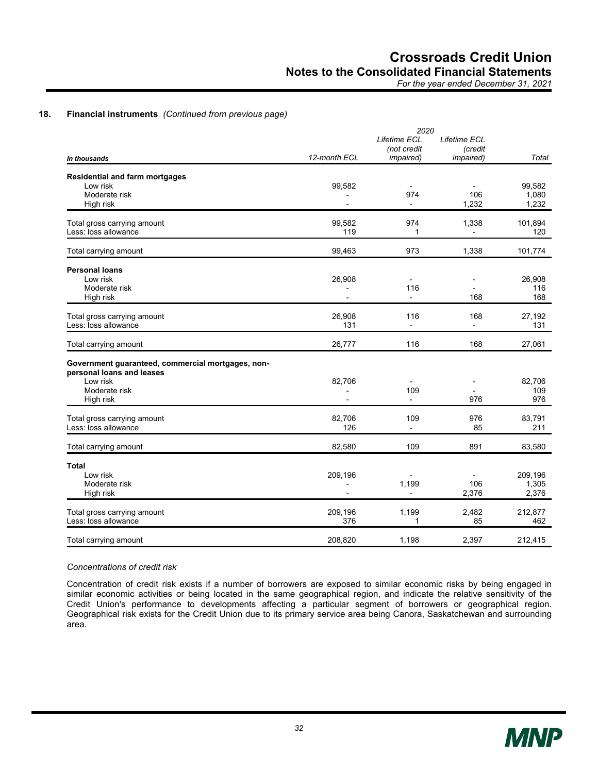| Lifetime ECL<br><b>Lifetime ECL</b><br>(not credit<br>(credit<br>12-month ECL<br><i>impaired</i> )<br><i>impaired</i> )<br>In thousands<br><b>Residential and farm mortgages</b><br>Low risk<br>99,582 | Total<br>99,582<br>1,080<br>1,232<br>101,894 |
|--------------------------------------------------------------------------------------------------------------------------------------------------------------------------------------------------------|----------------------------------------------|
|                                                                                                                                                                                                        |                                              |
|                                                                                                                                                                                                        |                                              |
|                                                                                                                                                                                                        |                                              |
|                                                                                                                                                                                                        |                                              |
|                                                                                                                                                                                                        |                                              |
| 974<br>106<br>Moderate risk                                                                                                                                                                            |                                              |
| 1,232<br>High risk<br>$\overline{a}$                                                                                                                                                                   |                                              |
| 99,582<br>974<br>1,338<br>Total gross carrying amount                                                                                                                                                  |                                              |
| Less: loss allowance<br>119<br>1                                                                                                                                                                       | 120                                          |
| 973<br>99,463<br>1,338<br>Total carrying amount                                                                                                                                                        | 101,774                                      |
| <b>Personal loans</b>                                                                                                                                                                                  |                                              |
| Low risk<br>26,908                                                                                                                                                                                     | 26,908                                       |
| 116<br>Moderate risk                                                                                                                                                                                   | 116                                          |
| 168<br>High risk<br>$\overline{\phantom{0}}$                                                                                                                                                           | 168                                          |
| 26,908<br>116<br>168<br>Total gross carrying amount                                                                                                                                                    | 27,192                                       |
| Less: loss allowance<br>131                                                                                                                                                                            | 131                                          |
| 26,777<br>116<br>168<br>Total carrying amount                                                                                                                                                          | 27,061                                       |
| Government guaranteed, commercial mortgages, non-                                                                                                                                                      |                                              |
| personal loans and leases                                                                                                                                                                              |                                              |
| 82,706<br>Low risk                                                                                                                                                                                     | 82,706                                       |
| 109<br>Moderate risk                                                                                                                                                                                   | 109                                          |
| 976<br>High risk<br>$\overline{\phantom{0}}$                                                                                                                                                           | 976                                          |
| 82,706<br>109<br>976<br>Total gross carrying amount                                                                                                                                                    | 83,791                                       |
| Less: loss allowance<br>126<br>85                                                                                                                                                                      | 211                                          |
| 109<br>82,580<br>891<br>Total carrying amount                                                                                                                                                          | 83,580                                       |
| Total                                                                                                                                                                                                  |                                              |
| Low risk<br>209,196                                                                                                                                                                                    | 209,196                                      |
| 1,199<br>106<br>Moderate risk                                                                                                                                                                          | 1,305                                        |
| 2,376<br>High risk<br>$\blacksquare$                                                                                                                                                                   | 2,376                                        |
| 209,196<br>Total gross carrying amount<br>1,199<br>2,482                                                                                                                                               | 212,877                                      |
| Less: loss allowance<br>376<br>1<br>85                                                                                                                                                                 | 462                                          |
| 208,820<br>1,198<br>2,397<br>Total carrying amount                                                                                                                                                     | 212,415                                      |

#### *Concentrations of credit risk*

Concentration of credit risk exists if a number of borrowers are exposed to similar economic risks by being engaged in similar economic activities or being located in the same geographical region, and indicate the relative sensitivity of the Credit Union's performance to developments affecting a particular segment of borrowers or geographical region. Geographical risk exists for the Credit Union due to its primary service area being Canora, Saskatchewan and surrounding area.

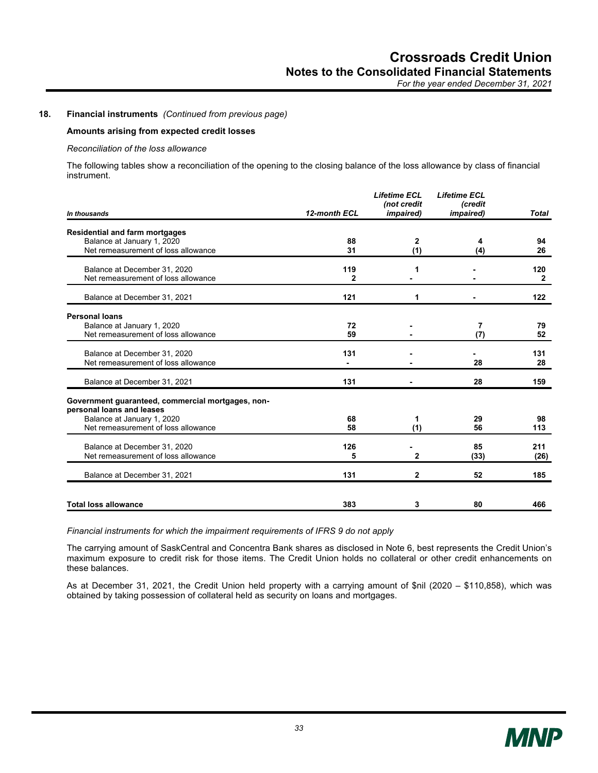#### **Amounts arising from expected credit losses**

#### *Reconciliation of the loss allowance*

The following tables show a reconciliation of the opening to the closing balance of the loss allowance by class of financial instrument.

|                                                   |              | <b>Lifetime ECL</b><br>(not credit | <b>Lifetime ECL</b><br><b>Credit</b> |                |
|---------------------------------------------------|--------------|------------------------------------|--------------------------------------|----------------|
| In thousands                                      | 12-month ECL | <i>impaired</i> )                  | <i>impaired)</i>                     | <b>Total</b>   |
| <b>Residential and farm mortgages</b>             |              |                                    |                                      |                |
| Balance at January 1, 2020                        | 88           | $\mathbf{2}$                       | 4                                    | 94             |
| Net remeasurement of loss allowance               | 31           | (1)                                | (4)                                  | 26             |
| Balance at December 31, 2020                      | 119          |                                    |                                      | 120            |
| Net remeasurement of loss allowance               | 2            |                                    |                                      | $\overline{2}$ |
| Balance at December 31, 2021                      | 121          | 1                                  |                                      | 122            |
| <b>Personal loans</b>                             |              |                                    |                                      |                |
| Balance at January 1, 2020                        | 72           |                                    | 7                                    | 79             |
| Net remeasurement of loss allowance               | 59           |                                    | (7)                                  | 52             |
| Balance at December 31, 2020                      | 131          |                                    |                                      | 131            |
| Net remeasurement of loss allowance               |              |                                    | 28                                   | 28             |
| Balance at December 31, 2021                      | 131          |                                    | 28                                   | 159            |
| Government guaranteed, commercial mortgages, non- |              |                                    |                                      |                |
| personal loans and leases                         |              |                                    |                                      |                |
| Balance at January 1, 2020                        | 68           | 1                                  | 29                                   | 98             |
| Net remeasurement of loss allowance               | 58           | (1)                                | 56                                   | 113            |
| Balance at December 31, 2020                      | 126          |                                    | 85                                   | 211            |
| Net remeasurement of loss allowance               | 5            | 2                                  | (33)                                 | (26)           |
| Balance at December 31, 2021                      | 131          | 2                                  | 52                                   | 185            |
|                                                   |              |                                    |                                      |                |
| <b>Total loss allowance</b>                       | 383          | 3                                  | 80                                   | 466            |

*Financial instruments for which the impairment requirements of IFRS 9 do not apply*

The carrying amount of SaskCentral and Concentra Bank shares as disclosed in Note 6, best represents the Credit Union's maximum exposure to credit risk for those items. The Credit Union holds no collateral or other credit enhancements on these balances.

As at December 31, 2021, the Credit Union held property with a carrying amount of \$nil (2020 – \$110,858), which was obtained by taking possession of collateral held as security on loans and mortgages.

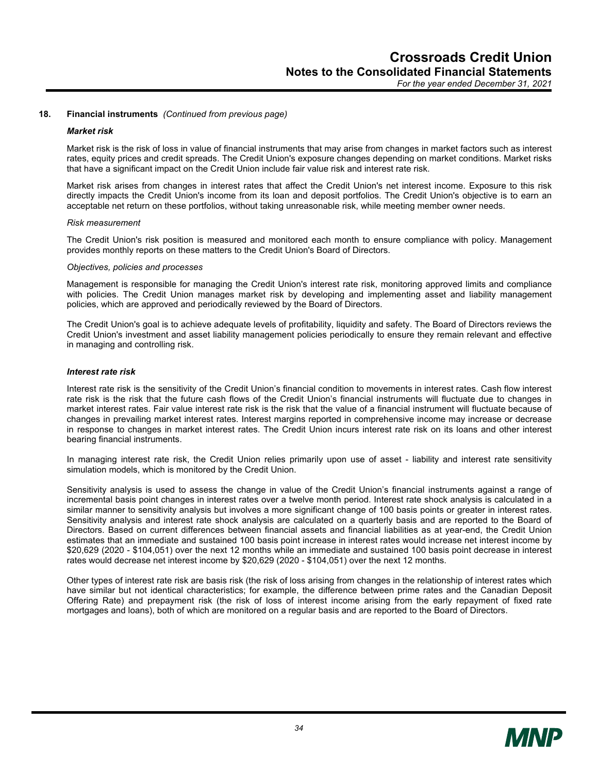#### *Market risk*

Market risk is the risk of loss in value of financial instruments that may arise from changes in market factors such as interest rates, equity prices and credit spreads. The Credit Union's exposure changes depending on market conditions. Market risks that have a significant impact on the Credit Union include fair value risk and interest rate risk.

Market risk arises from changes in interest rates that affect the Credit Union's net interest income. Exposure to this risk directly impacts the Credit Union's income from its loan and deposit portfolios. The Credit Union's objective is to earn an acceptable net return on these portfolios, without taking unreasonable risk, while meeting member owner needs.

#### *Risk measurement*

The Credit Union's risk position is measured and monitored each month to ensure compliance with policy. Management provides monthly reports on these matters to the Credit Union's Board of Directors.

#### *Objectives, policies and processes*

Management is responsible for managing the Credit Union's interest rate risk, monitoring approved limits and compliance with policies. The Credit Union manages market risk by developing and implementing asset and liability management policies, which are approved and periodically reviewed by the Board of Directors.

The Credit Union's goal is to achieve adequate levels of profitability, liquidity and safety. The Board of Directors reviews the Credit Union's investment and asset liability management policies periodically to ensure they remain relevant and effective in managing and controlling risk.

## *Interest rate risk*

Interest rate risk is the sensitivity of the Credit Union's financial condition to movements in interest rates. Cash flow interest rate risk is the risk that the future cash flows of the Credit Union's financial instruments will fluctuate due to changes in market interest rates. Fair value interest rate risk is the risk that the value of a financial instrument will fluctuate because of changes in prevailing market interest rates. Interest margins reported in comprehensive income may increase or decrease in response to changes in market interest rates. The Credit Union incurs interest rate risk on its loans and other interest bearing financial instruments.

In managing interest rate risk, the Credit Union relies primarily upon use of asset - liability and interest rate sensitivity simulation models, which is monitored by the Credit Union.

Sensitivity analysis is used to assess the change in value of the Credit Union's financial instruments against a range of incremental basis point changes in interest rates over a twelve month period. Interest rate shock analysis is calculated in a similar manner to sensitivity analysis but involves a more significant change of 100 basis points or greater in interest rates. Sensitivity analysis and interest rate shock analysis are calculated on a quarterly basis and are reported to the Board of Directors. Based on current differences between financial assets and financial liabilities as at year-end, the Credit Union estimates that an immediate and sustained 100 basis point increase in interest rates would increase net interest income by \$20,629 (2020 - \$104,051) over the next 12 months while an immediate and sustained 100 basis point decrease in interest rates would decrease net interest income by \$20,629 (2020 - \$104,051) over the next 12 months.

Other types of interest rate risk are basis risk (the risk of loss arising from changes in the relationship of interest rates which have similar but not identical characteristics; for example, the difference between prime rates and the Canadian Deposit Offering Rate) and prepayment risk (the risk of loss of interest income arising from the early repayment of fixed rate mortgages and loans), both of which are monitored on a regular basis and are reported to the Board of Directors.

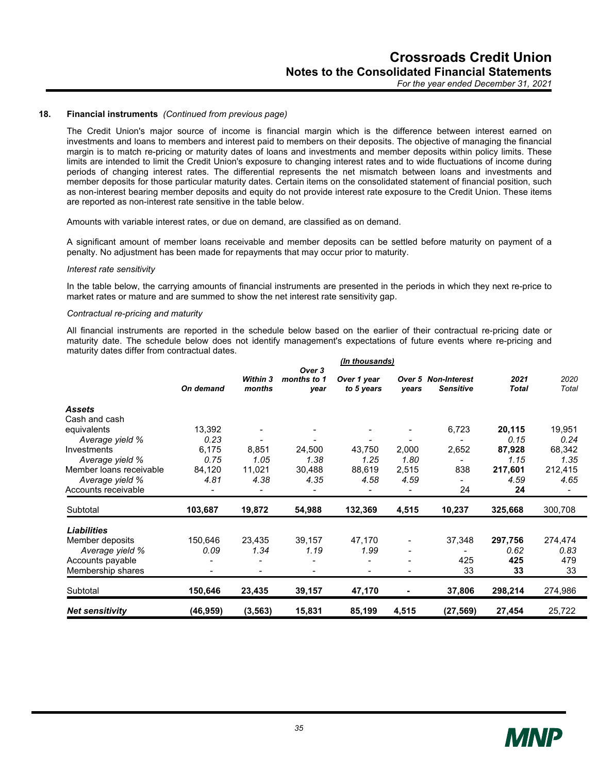The Credit Union's major source of income is financial margin which is the difference between interest earned on investments and loans to members and interest paid to members on their deposits. The objective of managing the financial margin is to match re-pricing or maturity dates of loans and investments and member deposits within policy limits. These limits are intended to limit the Credit Union's exposure to changing interest rates and to wide fluctuations of income during periods of changing interest rates. The differential represents the net mismatch between loans and investments and member deposits for those particular maturity dates. Certain items on the consolidated statement of financial position, such as non-interest bearing member deposits and equity do not provide interest rate exposure to the Credit Union. These items are reported as non-interest rate sensitive in the table below.

Amounts with variable interest rates, or due on demand, are classified as on demand.

A significant amount of member loans receivable and member deposits can be settled before maturity on payment of a penalty. No adjustment has been made for repayments that may occur prior to maturity.

#### *Interest rate sensitivity*

In the table below, the carrying amounts of financial instruments are presented in the periods in which they next re-price to market rates or mature and are summed to show the net interest rate sensitivity gap.

#### *Contractual re-pricing and maturity*

All financial instruments are reported in the schedule below based on the earlier of their contractual re-pricing date or maturity date. The schedule below does not identify management's expectations of future events where re-pricing and maturity dates differ from contractual dates.

|                         |           |                           | Over 3              | (In thousands)            |                 |                                         |                      |               |
|-------------------------|-----------|---------------------------|---------------------|---------------------------|-----------------|-----------------------------------------|----------------------|---------------|
|                         | On demand | <b>Within 3</b><br>months | months to 1<br>vear | Over 1 year<br>to 5 years | Over 5<br>vears | <b>Non-Interest</b><br><b>Sensitive</b> | 2021<br><b>Total</b> | 2020<br>Total |
| <b>Assets</b>           |           |                           |                     |                           |                 |                                         |                      |               |
| Cash and cash           |           |                           |                     |                           |                 |                                         |                      |               |
| equivalents             | 13,392    |                           |                     |                           |                 | 6,723                                   | 20,115               | 19,951        |
| Average yield %         | 0.23      |                           |                     |                           |                 |                                         | 0.15                 | 0.24          |
| Investments             | 6,175     | 8,851                     | 24,500              | 43,750                    | 2,000           | 2,652                                   | 87,928               | 68,342        |
| Average yield %         | 0.75      | 1.05                      | 1.38                | 1.25                      | 1.80            |                                         | 1.15                 | 1.35          |
| Member loans receivable | 84,120    | 11,021                    | 30,488              | 88,619                    | 2,515           | 838                                     | 217,601              | 212,415       |
| Average yield %         | 4.81      | 4.38                      | 4.35                | 4.58                      | 4.59            |                                         | 4.59                 | 4.65          |
| Accounts receivable     |           |                           |                     |                           |                 | 24                                      | 24                   |               |
| Subtotal                | 103,687   | 19,872                    | 54,988              | 132,369                   | 4,515           | 10,237                                  | 325,668              | 300,708       |
| <b>Liabilities</b>      |           |                           |                     |                           |                 |                                         |                      |               |
| Member deposits         | 150,646   | 23,435                    | 39,157              | 47,170                    |                 | 37,348                                  | 297,756              | 274,474       |
| Average yield %         | 0.09      | 1.34                      | 1.19                | 1.99                      |                 |                                         | 0.62                 | 0.83          |
| Accounts payable        |           |                           |                     |                           |                 | 425                                     | 425                  | 479           |
| Membership shares       |           | $\blacksquare$            |                     |                           |                 | 33                                      | 33                   | 33            |
| Subtotal                | 150,646   | 23,435                    | 39,157              | 47,170                    | ٠               | 37,806                                  | 298,214              | 274,986       |
| <b>Net sensitivity</b>  | (46, 959) | (3, 563)                  | 15,831              | 85,199                    | 4,515           | (27, 569)                               | 27,454               | 25,722        |

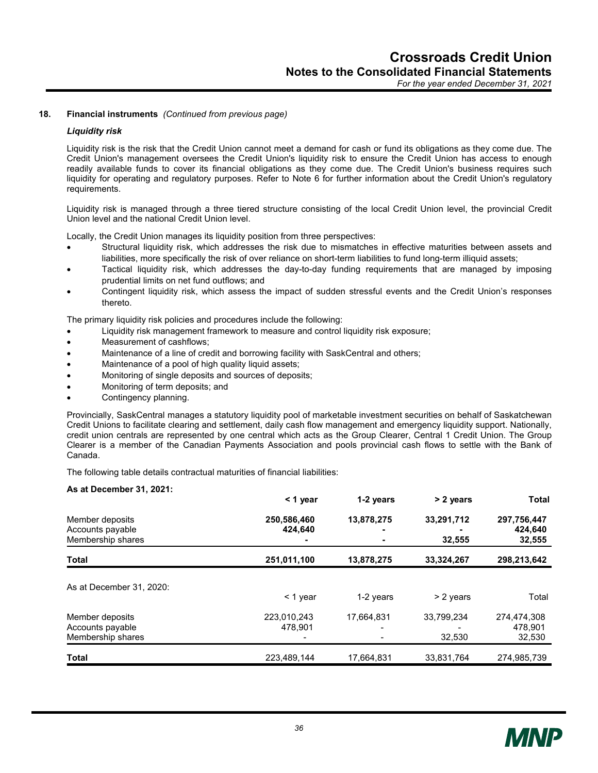# *Liquidity risk*

Liquidity risk is the risk that the Credit Union cannot meet a demand for cash or fund its obligations as they come due. The Credit Union's management oversees the Credit Union's liquidity risk to ensure the Credit Union has access to enough readily available funds to cover its financial obligations as they come due. The Credit Union's business requires such liquidity for operating and regulatory purposes. Refer to Note 6 for further information about the Credit Union's regulatory requirements.

Liquidity risk is managed through a three tiered structure consisting of the local Credit Union level, the provincial Credit Union level and the national Credit Union level.

Locally, the Credit Union manages its liquidity position from three perspectives:

- Structural liquidity risk, which addresses the risk due to mismatches in effective maturities between assets and liabilities, more specifically the risk of over reliance on short-term liabilities to fund long-term illiquid assets;
- Tactical liquidity risk, which addresses the day-to-day funding requirements that are managed by imposing prudential limits on net fund outflows; and
- Contingent liquidity risk, which assess the impact of sudden stressful events and the Credit Union's responses thereto.

The primary liquidity risk policies and procedures include the following:

- Liquidity risk management framework to measure and control liquidity risk exposure;
- Measurement of cashflows;
- Maintenance of a line of credit and borrowing facility with SaskCentral and others;
- Maintenance of a pool of high quality liquid assets;
- Monitoring of single deposits and sources of deposits;
- Monitoring of term deposits; and
- Contingency planning.

Provincially, SaskCentral manages a statutory liquidity pool of marketable investment securities on behalf of Saskatchewan Credit Unions to facilitate clearing and settlement, daily cash flow management and emergency liquidity support. Nationally, credit union centrals are represented by one central which acts as the Group Clearer, Central 1 Credit Union. The Group Clearer is a member of the Canadian Payments Association and pools provincial cash flows to settle with the Bank of Canada.

The following table details contractual maturities of financial liabilities:

## **As at December 31, 2021:**

|                                                          | < 1 year               | 1-2 years  | > 2 years            | <b>Total</b>                     |
|----------------------------------------------------------|------------------------|------------|----------------------|----------------------------------|
| Member deposits<br>Accounts payable<br>Membership shares | 250,586,460<br>424,640 | 13,878,275 | 33,291,712<br>32,555 | 297,756,447<br>424,640<br>32,555 |
| <b>Total</b>                                             | 251,011,100            | 13,878,275 | 33,324,267           | 298,213,642                      |
| As at December 31, 2020:                                 | $<$ 1 year             | 1-2 years  | > 2 years            | Total                            |
| Member deposits<br>Accounts payable<br>Membership shares | 223,010,243<br>478.901 | 17,664,831 | 33,799,234<br>32,530 | 274,474,308<br>478,901<br>32,530 |
| <b>Total</b>                                             | 223,489,144            | 17,664,831 | 33,831,764           | 274,985,739                      |

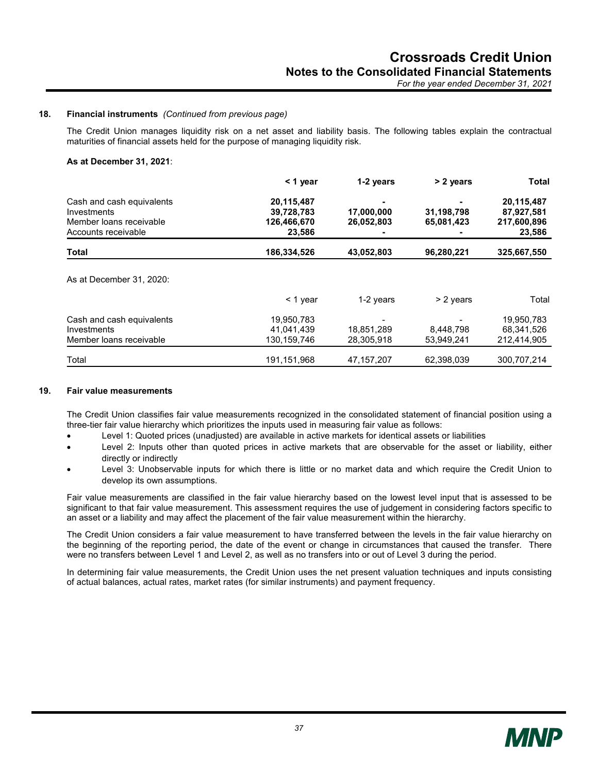The Credit Union manages liquidity risk on a net asset and liability basis. The following tables explain the contractual maturities of financial assets held for the purpose of managing liquidity risk.

## **As at December 31, 2021**:

|                                                                                            | $<$ 1 year                                        | 1-2 years                | > 2 years                | <b>Total</b>                                      |
|--------------------------------------------------------------------------------------------|---------------------------------------------------|--------------------------|--------------------------|---------------------------------------------------|
| Cash and cash equivalents<br>Investments<br>Member Ioans receivable<br>Accounts receivable | 20,115,487<br>39,728,783<br>126,466,670<br>23,586 | 17,000,000<br>26,052,803 | 31,198,798<br>65,081,423 | 20,115,487<br>87,927,581<br>217,600,896<br>23,586 |
| <b>Total</b>                                                                               | 186,334,526                                       | 43,052,803               | 96,280,221               | 325,667,550                                       |
| As at December 31, 2020:                                                                   |                                                   |                          |                          |                                                   |
|                                                                                            | $<$ 1 year                                        | 1-2 years                | > 2 years                | Total                                             |
| Cash and cash equivalents<br>Investments<br>Member loans receivable                        | 19,950,783<br>41,041,439<br>130,159,746           | 18,851,289<br>28,305,918 | 8,448,798<br>53,949,241  | 19,950,783<br>68,341,526<br>212,414,905           |
| Total                                                                                      | 191,151,968                                       | 47.157.207               | 62,398,039               | 300.707.214                                       |

## **19. Fair value measurements**

The Credit Union classifies fair value measurements recognized in the consolidated statement of financial position using a three-tier fair value hierarchy which prioritizes the inputs used in measuring fair value as follows:

- Level 1: Quoted prices (unadjusted) are available in active markets for identical assets or liabilities
- Level 2: Inputs other than quoted prices in active markets that are observable for the asset or liability, either directly or indirectly
- Level 3: Unobservable inputs for which there is little or no market data and which require the Credit Union to develop its own assumptions.

Fair value measurements are classified in the fair value hierarchy based on the lowest level input that is assessed to be significant to that fair value measurement. This assessment requires the use of judgement in considering factors specific to an asset or a liability and may affect the placement of the fair value measurement within the hierarchy.

The Credit Union considers a fair value measurement to have transferred between the levels in the fair value hierarchy on the beginning of the reporting period, the date of the event or change in circumstances that caused the transfer. There were no transfers between Level 1 and Level 2, as well as no transfers into or out of Level 3 during the period.

In determining fair value measurements, the Credit Union uses the net present valuation techniques and inputs consisting of actual balances, actual rates, market rates (for similar instruments) and payment frequency.

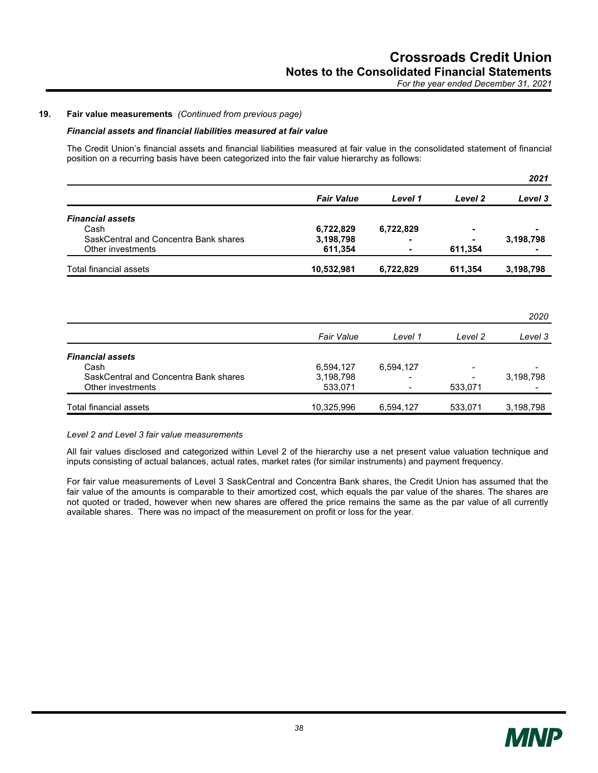# **19. Fair value measurements** *(Continued from previous page)*

#### *Financial assets and financial liabilities measured at fair value*

The Credit Union's financial assets and financial liabilities measured at fair value in the consolidated statement of financial position on a recurring basis have been categorized into the fair value hierarchy as follows:

|                                       |                   |           |                          | 2021           |
|---------------------------------------|-------------------|-----------|--------------------------|----------------|
|                                       | <b>Fair Value</b> | Level 1   | Level 2                  | Level 3        |
| <b>Financial assets</b>               |                   |           |                          |                |
| Cash                                  | 6,722,829         | 6,722,829 | $\overline{\phantom{a}}$ | $\blacksquare$ |
| SaskCentral and Concentra Bank shares | 3,198,798         |           |                          | 3,198,798      |
| Other investments                     | 611,354           |           | 611,354                  | ۰              |
| Total financial assets                | 10,532,981        | 6,722,829 | 611,354                  | 3,198,798      |

|                                       |                   |           |                          | 2020           |
|---------------------------------------|-------------------|-----------|--------------------------|----------------|
|                                       | <b>Fair Value</b> | Level 1   | Level 2                  | Level 3        |
| <b>Financial assets</b>               |                   |           |                          |                |
| Cash                                  | 6,594,127         | 6,594,127 | $\overline{\phantom{0}}$ |                |
| SaskCentral and Concentra Bank shares | 3,198,798         |           | $\overline{\phantom{0}}$ | 3,198,798      |
| Other investments                     | 533.071           |           | 533,071                  | $\blacksquare$ |
| Total financial assets                | 10,325,996        | 6,594,127 | 533.071                  | 3,198,798      |

## *Level 2 and Level 3 fair value measurements*

All fair values disclosed and categorized within Level 2 of the hierarchy use a net present value valuation technique and inputs consisting of actual balances, actual rates, market rates (for similar instruments) and payment frequency.

For fair value measurements of Level 3 SaskCentral and Concentra Bank shares, the Credit Union has assumed that the fair value of the amounts is comparable to their amortized cost, which equals the par value of the shares. The shares are not quoted or traded, however when new shares are offered the price remains the same as the par value of all currently available shares. There was no impact of the measurement on profit or loss for the year.

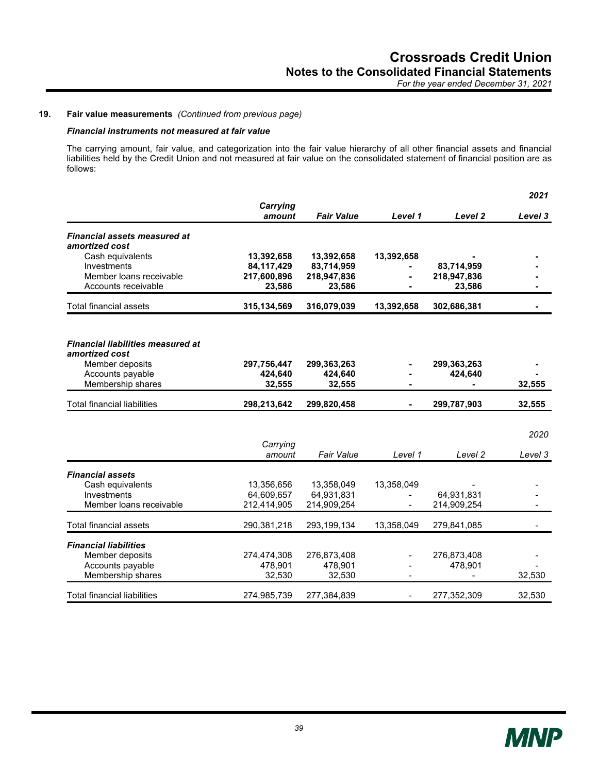## **19. Fair value measurements** *(Continued from previous page)*

## *Financial instruments not measured at fair value*

The carrying amount, fair value, and categorization into the fair value hierarchy of all other financial assets and financial liabilities held by the Credit Union and not measured at fair value on the consolidated statement of financial position are as follows:

|                                                |                           |                   |                |             | 2021    |
|------------------------------------------------|---------------------------|-------------------|----------------|-------------|---------|
|                                                | <b>Carrying</b><br>amount | <b>Fair Value</b> | Level 1        | Level 2     | Level 3 |
| <b>Financial assets measured at</b>            |                           |                   |                |             |         |
| amortized cost                                 |                           |                   |                |             |         |
| Cash equivalents                               | 13,392,658                | 13,392,658        | 13,392,658     |             |         |
| Investments                                    | 84,117,429                | 83,714,959        |                | 83,714,959  |         |
| Member Ioans receivable<br>Accounts receivable | 217,600,896               | 218,947,836       |                | 218,947,836 |         |
|                                                | 23,586                    | 23,586            |                | 23,586      |         |
| <b>Total financial assets</b>                  | 315, 134, 569             | 316,079,039       | 13,392,658     | 302,686,381 |         |
| <b>Financial liabilities measured at</b>       |                           |                   |                |             |         |
| amortized cost                                 |                           |                   |                |             |         |
| Member deposits                                | 297,756,447               | 299,363,263       |                | 299,363,263 |         |
| Accounts payable                               | 424,640                   | 424,640           |                | 424,640     |         |
| Membership shares                              | 32,555                    | 32,555            |                |             | 32,555  |
| <b>Total financial liabilities</b>             | 298,213,642               | 299,820,458       |                | 299,787,903 | 32,555  |
|                                                |                           |                   |                |             |         |
|                                                |                           |                   |                |             | 2020    |
|                                                | Carrying                  |                   |                |             |         |
|                                                | amount                    | <b>Fair Value</b> | Level 1        | Level 2     | Level 3 |
|                                                |                           |                   |                |             |         |
| <b>Financial assets</b>                        |                           |                   |                |             |         |
| Cash equivalents                               | 13,356,656                | 13,358,049        | 13,358,049     |             |         |
| Investments                                    | 64,609,657                | 64,931,831        |                | 64,931,831  |         |
| Member loans receivable                        | 212,414,905               | 214,909,254       | $\blacksquare$ | 214,909,254 |         |
| <b>Total financial assets</b>                  | 290,381,218               | 293,199,134       | 13,358,049     | 279,841,085 |         |
| <b>Financial liabilities</b>                   |                           |                   |                |             |         |
| Member deposits                                | 274,474,308               | 276,873,408       |                | 276,873,408 |         |
| Accounts payable                               | 478,901                   | 478,901           |                | 478,901     |         |
| Membership shares                              | 32,530                    | 32,530            |                |             | 32,530  |
|                                                |                           |                   |                |             |         |
| <b>Total financial liabilities</b>             | 274,985,739               | 277,384,839       |                | 277,352,309 | 32,530  |